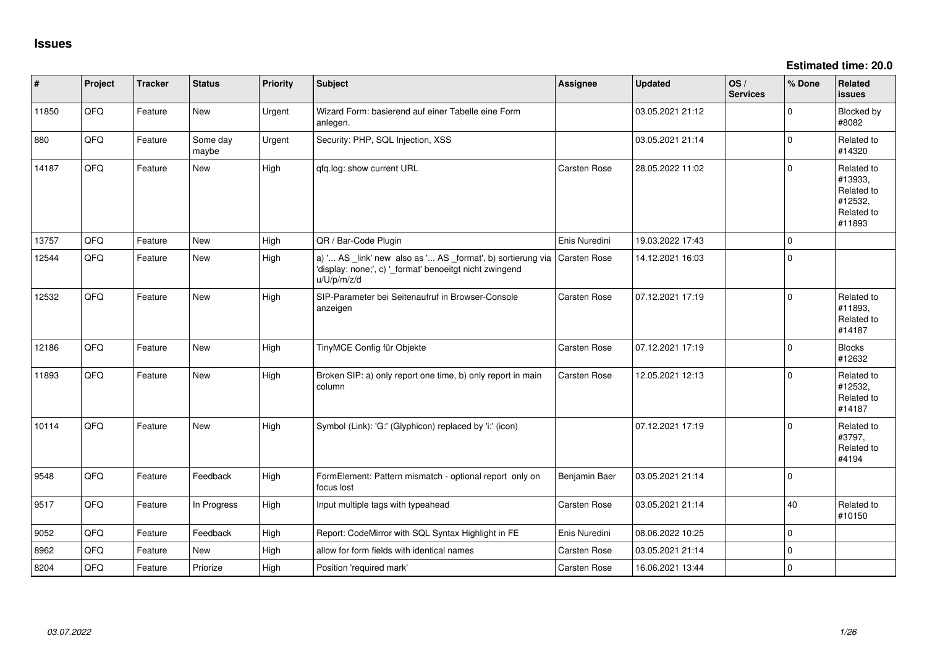**Estimated time: 20.0**

| #     | Project | <b>Tracker</b> | <b>Status</b>     | <b>Priority</b> | Subject                                                                                                                               | Assignee      | <b>Updated</b>   | OS/<br><b>Services</b> | % Done   | Related<br>issues                                                      |
|-------|---------|----------------|-------------------|-----------------|---------------------------------------------------------------------------------------------------------------------------------------|---------------|------------------|------------------------|----------|------------------------------------------------------------------------|
| 11850 | QFQ     | Feature        | New               | Urgent          | Wizard Form: basierend auf einer Tabelle eine Form<br>anlegen.                                                                        |               | 03.05.2021 21:12 |                        | 0        | <b>Blocked by</b><br>#8082                                             |
| 880   | QFQ     | Feature        | Some day<br>maybe | Urgent          | Security: PHP, SQL Injection, XSS                                                                                                     |               | 03.05.2021 21:14 |                        | 0        | Related to<br>#14320                                                   |
| 14187 | QFQ     | Feature        | New               | High            | qfq.log: show current URL                                                                                                             | Carsten Rose  | 28.05.2022 11:02 |                        | 0        | Related to<br>#13933,<br>Related to<br>#12532,<br>Related to<br>#11893 |
| 13757 | QFQ     | Feature        | <b>New</b>        | High            | QR / Bar-Code Plugin                                                                                                                  | Enis Nuredini | 19.03.2022 17:43 |                        | 0        |                                                                        |
| 12544 | QFQ     | Feature        | New               | High            | a) ' AS _link' new also as ' AS _format', b) sortierung via<br>'display: none;', c) '_format' benoeitgt nicht zwingend<br>u/U/p/m/z/d | Carsten Rose  | 14.12.2021 16:03 |                        | 0        |                                                                        |
| 12532 | QFQ     | Feature        | <b>New</b>        | High            | SIP-Parameter bei Seitenaufruf in Browser-Console<br>anzeigen                                                                         | Carsten Rose  | 07.12.2021 17:19 |                        | $\Omega$ | Related to<br>#11893,<br>Related to<br>#14187                          |
| 12186 | QFQ     | Feature        | New               | High            | TinyMCE Config für Objekte                                                                                                            | Carsten Rose  | 07.12.2021 17:19 |                        | 0        | <b>Blocks</b><br>#12632                                                |
| 11893 | QFQ     | Feature        | New               | High            | Broken SIP: a) only report one time, b) only report in main<br>column                                                                 | Carsten Rose  | 12.05.2021 12:13 |                        | 0        | Related to<br>#12532,<br>Related to<br>#14187                          |
| 10114 | QFQ     | Feature        | New               | High            | Symbol (Link): 'G:' (Glyphicon) replaced by 'i:' (icon)                                                                               |               | 07.12.2021 17:19 |                        | 0        | Related to<br>#3797,<br>Related to<br>#4194                            |
| 9548  | QFQ     | Feature        | Feedback          | High            | FormElement: Pattern mismatch - optional report only on<br>focus lost                                                                 | Benjamin Baer | 03.05.2021 21:14 |                        | $\Omega$ |                                                                        |
| 9517  | QFQ     | Feature        | In Progress       | High            | Input multiple tags with typeahead                                                                                                    | Carsten Rose  | 03.05.2021 21:14 |                        | 40       | Related to<br>#10150                                                   |
| 9052  | QFQ     | Feature        | Feedback          | High            | Report: CodeMirror with SQL Syntax Highlight in FE                                                                                    | Enis Nuredini | 08.06.2022 10:25 |                        | 0        |                                                                        |
| 8962  | QFQ     | Feature        | New               | High            | allow for form fields with identical names                                                                                            | Carsten Rose  | 03.05.2021 21:14 |                        | 0        |                                                                        |
| 8204  | QFQ     | Feature        | Priorize          | High            | Position 'required mark'                                                                                                              | Carsten Rose  | 16.06.2021 13:44 |                        | 0        |                                                                        |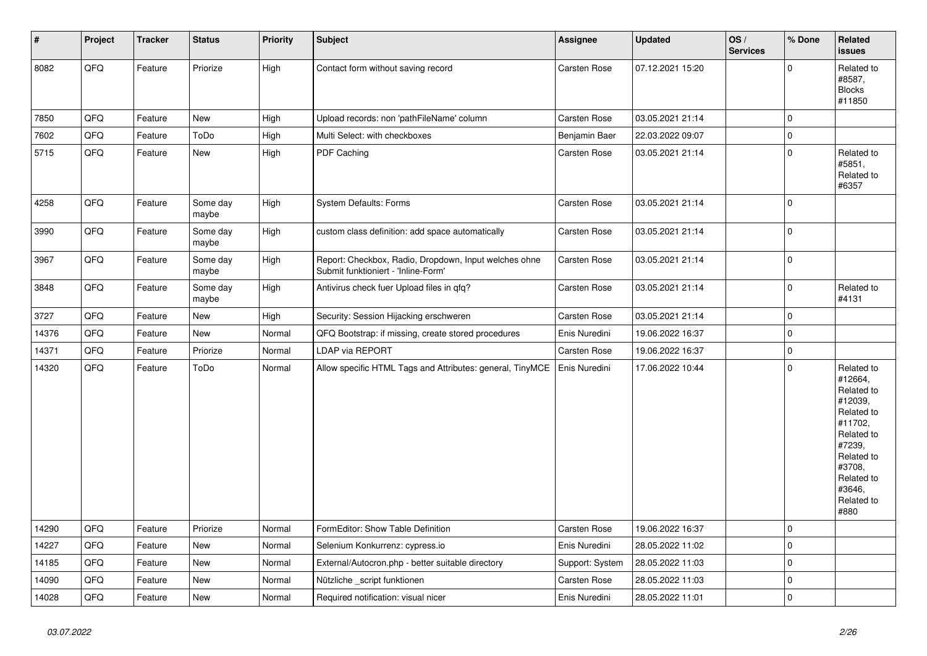| $\pmb{\sharp}$ | Project | <b>Tracker</b> | <b>Status</b>     | Priority | <b>Subject</b>                                                                               | Assignee            | <b>Updated</b>   | OS/<br><b>Services</b> | % Done      | Related<br>issues                                                                                                                                                     |
|----------------|---------|----------------|-------------------|----------|----------------------------------------------------------------------------------------------|---------------------|------------------|------------------------|-------------|-----------------------------------------------------------------------------------------------------------------------------------------------------------------------|
| 8082           | QFQ     | Feature        | Priorize          | High     | Contact form without saving record                                                           | <b>Carsten Rose</b> | 07.12.2021 15:20 |                        | $\Omega$    | Related to<br>#8587,<br><b>Blocks</b><br>#11850                                                                                                                       |
| 7850           | QFQ     | Feature        | New               | High     | Upload records: non 'pathFileName' column                                                    | <b>Carsten Rose</b> | 03.05.2021 21:14 |                        | 0           |                                                                                                                                                                       |
| 7602           | QFQ     | Feature        | ToDo              | High     | Multi Select: with checkboxes                                                                | Benjamin Baer       | 22.03.2022 09:07 |                        | 0           |                                                                                                                                                                       |
| 5715           | QFQ     | Feature        | New               | High     | PDF Caching                                                                                  | Carsten Rose        | 03.05.2021 21:14 |                        | 0           | Related to<br>#5851,<br>Related to<br>#6357                                                                                                                           |
| 4258           | QFQ     | Feature        | Some day<br>maybe | High     | <b>System Defaults: Forms</b>                                                                | <b>Carsten Rose</b> | 03.05.2021 21:14 |                        | 0           |                                                                                                                                                                       |
| 3990           | QFQ     | Feature        | Some day<br>maybe | High     | custom class definition: add space automatically                                             | Carsten Rose        | 03.05.2021 21:14 |                        | 0           |                                                                                                                                                                       |
| 3967           | QFQ     | Feature        | Some day<br>maybe | High     | Report: Checkbox, Radio, Dropdown, Input welches ohne<br>Submit funktioniert - 'Inline-Form' | Carsten Rose        | 03.05.2021 21:14 |                        | $\Omega$    |                                                                                                                                                                       |
| 3848           | QFQ     | Feature        | Some day<br>maybe | High     | Antivirus check fuer Upload files in qfq?                                                    | Carsten Rose        | 03.05.2021 21:14 |                        | 0           | Related to<br>#4131                                                                                                                                                   |
| 3727           | QFQ     | Feature        | New               | High     | Security: Session Hijacking erschweren                                                       | Carsten Rose        | 03.05.2021 21:14 |                        | 0           |                                                                                                                                                                       |
| 14376          | QFQ     | Feature        | New               | Normal   | QFQ Bootstrap: if missing, create stored procedures                                          | Enis Nuredini       | 19.06.2022 16:37 |                        | 0           |                                                                                                                                                                       |
| 14371          | QFQ     | Feature        | Priorize          | Normal   | LDAP via REPORT                                                                              | Carsten Rose        | 19.06.2022 16:37 |                        | $\pmb{0}$   |                                                                                                                                                                       |
| 14320          | QFQ     | Feature        | ToDo              | Normal   | Allow specific HTML Tags and Attributes: general, TinyMCE                                    | Enis Nuredini       | 17.06.2022 10:44 |                        | 0           | Related to<br>#12664,<br>Related to<br>#12039,<br>Related to<br>#11702,<br>Related to<br>#7239,<br>Related to<br>#3708,<br>Related to<br>#3646,<br>Related to<br>#880 |
| 14290          | QFQ     | Feature        | Priorize          | Normal   | FormEditor: Show Table Definition                                                            | Carsten Rose        | 19.06.2022 16:37 |                        | 0           |                                                                                                                                                                       |
| 14227          | QFQ     | Feature        | New               | Normal   | Selenium Konkurrenz: cypress.io                                                              | Enis Nuredini       | 28.05.2022 11:02 |                        | $\mathbf 0$ |                                                                                                                                                                       |
| 14185          | QFQ     | Feature        | New               | Normal   | External/Autocron.php - better suitable directory                                            | Support: System     | 28.05.2022 11:03 |                        | 0           |                                                                                                                                                                       |
| 14090          | QFQ     | Feature        | New               | Normal   | Nützliche _script funktionen                                                                 | Carsten Rose        | 28.05.2022 11:03 |                        | $\pmb{0}$   |                                                                                                                                                                       |
| 14028          | QFQ     | Feature        | New               | Normal   | Required notification: visual nicer                                                          | Enis Nuredini       | 28.05.2022 11:01 |                        | 0           |                                                                                                                                                                       |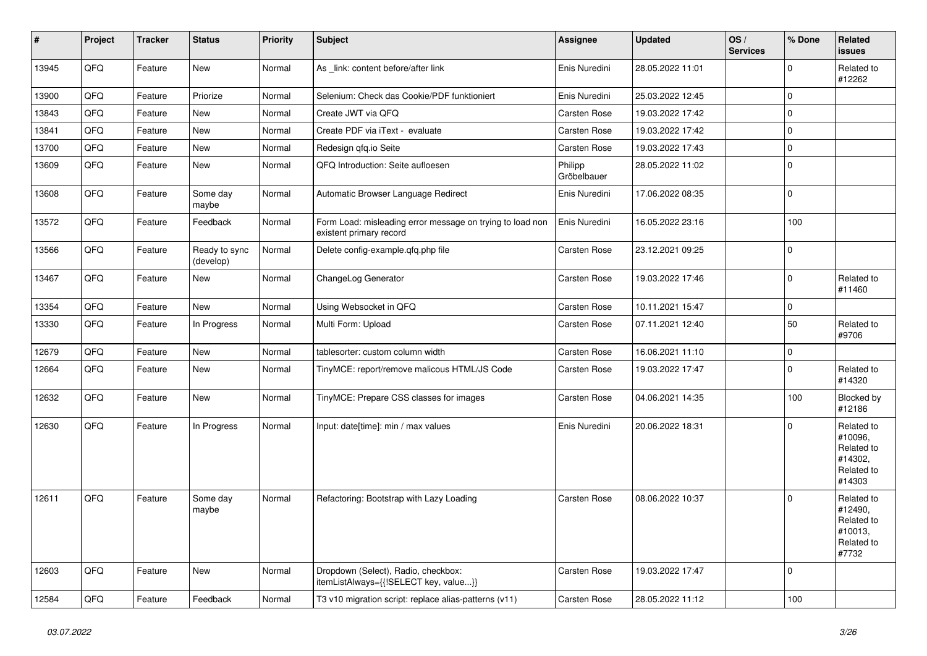| #     | Project | <b>Tracker</b> | <b>Status</b>              | <b>Priority</b> | <b>Subject</b>                                                                       | <b>Assignee</b>        | <b>Updated</b>   | OS/<br><b>Services</b> | % Done      | Related<br>issues                                                      |
|-------|---------|----------------|----------------------------|-----------------|--------------------------------------------------------------------------------------|------------------------|------------------|------------------------|-------------|------------------------------------------------------------------------|
| 13945 | QFQ     | Feature        | New                        | Normal          | As _link: content before/after link                                                  | Enis Nuredini          | 28.05.2022 11:01 |                        | $\mathbf 0$ | Related to<br>#12262                                                   |
| 13900 | QFQ     | Feature        | Priorize                   | Normal          | Selenium: Check das Cookie/PDF funktioniert                                          | Enis Nuredini          | 25.03.2022 12:45 |                        | $\mathbf 0$ |                                                                        |
| 13843 | QFQ     | Feature        | <b>New</b>                 | Normal          | Create JWT via QFQ                                                                   | Carsten Rose           | 19.03.2022 17:42 |                        | $\mathbf 0$ |                                                                        |
| 13841 | QFQ     | Feature        | <b>New</b>                 | Normal          | Create PDF via iText - evaluate                                                      | Carsten Rose           | 19.03.2022 17:42 |                        | $\Omega$    |                                                                        |
| 13700 | QFQ     | Feature        | <b>New</b>                 | Normal          | Redesign gfg.io Seite                                                                | Carsten Rose           | 19.03.2022 17:43 |                        | $\mathbf 0$ |                                                                        |
| 13609 | QFQ     | Feature        | <b>New</b>                 | Normal          | QFQ Introduction: Seite aufloesen                                                    | Philipp<br>Gröbelbauer | 28.05.2022 11:02 |                        | $\mathbf 0$ |                                                                        |
| 13608 | QFQ     | Feature        | Some day<br>maybe          | Normal          | Automatic Browser Language Redirect                                                  | Enis Nuredini          | 17.06.2022 08:35 |                        | $\mathbf 0$ |                                                                        |
| 13572 | QFQ     | Feature        | Feedback                   | Normal          | Form Load: misleading error message on trying to load non<br>existent primary record | Enis Nuredini          | 16.05.2022 23:16 |                        | 100         |                                                                        |
| 13566 | QFQ     | Feature        | Ready to sync<br>(develop) | Normal          | Delete config-example.qfq.php file                                                   | Carsten Rose           | 23.12.2021 09:25 |                        | $\Omega$    |                                                                        |
| 13467 | QFQ     | Feature        | New                        | Normal          | ChangeLog Generator                                                                  | Carsten Rose           | 19.03.2022 17:46 |                        | $\mathbf 0$ | Related to<br>#11460                                                   |
| 13354 | QFQ     | Feature        | <b>New</b>                 | Normal          | Using Websocket in QFQ                                                               | Carsten Rose           | 10.11.2021 15:47 |                        | $\mathbf 0$ |                                                                        |
| 13330 | QFQ     | Feature        | In Progress                | Normal          | Multi Form: Upload                                                                   | Carsten Rose           | 07.11.2021 12:40 |                        | 50          | Related to<br>#9706                                                    |
| 12679 | QFQ     | Feature        | <b>New</b>                 | Normal          | tablesorter: custom column width                                                     | <b>Carsten Rose</b>    | 16.06.2021 11:10 |                        | $\pmb{0}$   |                                                                        |
| 12664 | QFQ     | Feature        | <b>New</b>                 | Normal          | TinyMCE: report/remove malicous HTML/JS Code                                         | Carsten Rose           | 19.03.2022 17:47 |                        | $\Omega$    | Related to<br>#14320                                                   |
| 12632 | QFQ     | Feature        | <b>New</b>                 | Normal          | TinyMCE: Prepare CSS classes for images                                              | Carsten Rose           | 04.06.2021 14:35 |                        | 100         | Blocked by<br>#12186                                                   |
| 12630 | QFQ     | Feature        | In Progress                | Normal          | Input: date[time]: min / max values                                                  | Enis Nuredini          | 20.06.2022 18:31 |                        | $\mathbf 0$ | Related to<br>#10096,<br>Related to<br>#14302.<br>Related to<br>#14303 |
| 12611 | QFQ     | Feature        | Some day<br>maybe          | Normal          | Refactoring: Bootstrap with Lazy Loading                                             | Carsten Rose           | 08.06.2022 10:37 |                        | $\mathbf 0$ | Related to<br>#12490,<br>Related to<br>#10013,<br>Related to<br>#7732  |
| 12603 | QFQ     | Feature        | New                        | Normal          | Dropdown (Select), Radio, checkbox:<br>itemListAlways={{!SELECT key, value}}         | Carsten Rose           | 19.03.2022 17:47 |                        | $\Omega$    |                                                                        |
| 12584 | QFQ     | Feature        | Feedback                   | Normal          | T3 v10 migration script: replace alias-patterns (v11)                                | Carsten Rose           | 28.05.2022 11:12 |                        | 100         |                                                                        |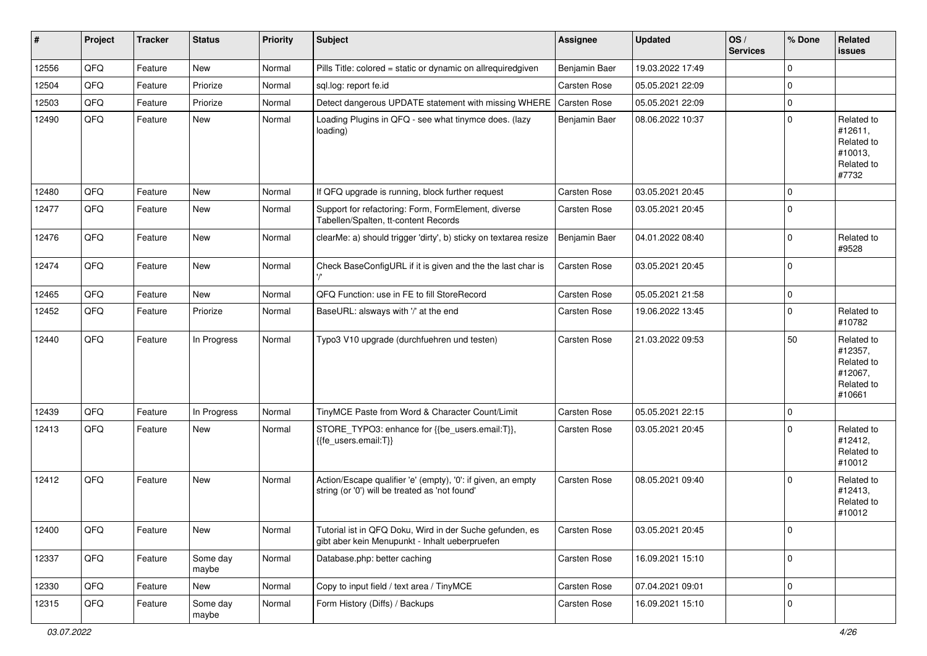| #     | Project | <b>Tracker</b> | <b>Status</b>     | <b>Priority</b> | <b>Subject</b>                                                                                                 | Assignee      | <b>Updated</b>   | OS/<br><b>Services</b> | % Done      | Related<br><b>issues</b>                                               |
|-------|---------|----------------|-------------------|-----------------|----------------------------------------------------------------------------------------------------------------|---------------|------------------|------------------------|-------------|------------------------------------------------------------------------|
| 12556 | QFQ     | Feature        | New               | Normal          | Pills Title: colored = static or dynamic on allrequiredgiven                                                   | Benjamin Baer | 19.03.2022 17:49 |                        | $\mathbf 0$ |                                                                        |
| 12504 | QFQ     | Feature        | Priorize          | Normal          | sql.log: report fe.id                                                                                          | Carsten Rose  | 05.05.2021 22:09 |                        | 0           |                                                                        |
| 12503 | QFQ     | Feature        | Priorize          | Normal          | Detect dangerous UPDATE statement with missing WHERE                                                           | Carsten Rose  | 05.05.2021 22:09 |                        | 0           |                                                                        |
| 12490 | QFQ     | Feature        | New               | Normal          | Loading Plugins in QFQ - see what tinymce does. (lazy<br>loading)                                              | Benjamin Baer | 08.06.2022 10:37 |                        | 0           | Related to<br>#12611,<br>Related to<br>#10013,<br>Related to<br>#7732  |
| 12480 | QFQ     | Feature        | New               | Normal          | If QFQ upgrade is running, block further request                                                               | Carsten Rose  | 03.05.2021 20:45 |                        | 0           |                                                                        |
| 12477 | QFQ     | Feature        | New               | Normal          | Support for refactoring: Form, FormElement, diverse<br>Tabellen/Spalten, tt-content Records                    | Carsten Rose  | 03.05.2021 20:45 |                        | 0           |                                                                        |
| 12476 | QFQ     | Feature        | New               | Normal          | clearMe: a) should trigger 'dirty', b) sticky on textarea resize                                               | Benjamin Baer | 04.01.2022 08:40 |                        | 0           | Related to<br>#9528                                                    |
| 12474 | QFQ     | Feature        | New               | Normal          | Check BaseConfigURL if it is given and the the last char is                                                    | Carsten Rose  | 03.05.2021 20:45 |                        | 0           |                                                                        |
| 12465 | QFQ     | Feature        | <b>New</b>        | Normal          | QFQ Function: use in FE to fill StoreRecord                                                                    | Carsten Rose  | 05.05.2021 21:58 |                        | 0           |                                                                        |
| 12452 | QFQ     | Feature        | Priorize          | Normal          | BaseURL: alsways with '/' at the end                                                                           | Carsten Rose  | 19.06.2022 13:45 |                        | 0           | Related to<br>#10782                                                   |
| 12440 | QFQ     | Feature        | In Progress       | Normal          | Typo3 V10 upgrade (durchfuehren und testen)                                                                    | Carsten Rose  | 21.03.2022 09:53 |                        | 50          | Related to<br>#12357,<br>Related to<br>#12067,<br>Related to<br>#10661 |
| 12439 | QFQ     | Feature        | In Progress       | Normal          | TinyMCE Paste from Word & Character Count/Limit                                                                | Carsten Rose  | 05.05.2021 22:15 |                        | 0           |                                                                        |
| 12413 | QFQ     | Feature        | New               | Normal          | STORE_TYPO3: enhance for {{be_users.email:T}},<br>{{fe users.email:T}}                                         | Carsten Rose  | 03.05.2021 20:45 |                        | $\Omega$    | Related to<br>#12412,<br>Related to<br>#10012                          |
| 12412 | QFQ     | Feature        | <b>New</b>        | Normal          | Action/Escape qualifier 'e' (empty), '0': if given, an empty<br>string (or '0') will be treated as 'not found' | Carsten Rose  | 08.05.2021 09:40 |                        | $\mathbf 0$ | Related to<br>#12413,<br>Related to<br>#10012                          |
| 12400 | QFQ     | Feature        | New               | Normal          | Tutorial ist in QFQ Doku, Wird in der Suche gefunden, es<br>gibt aber kein Menupunkt - Inhalt ueberpruefen     | Carsten Rose  | 03.05.2021 20:45 |                        | 0           |                                                                        |
| 12337 | QFQ     | Feature        | Some day<br>maybe | Normal          | Database.php: better caching                                                                                   | Carsten Rose  | 16.09.2021 15:10 |                        | $\mathbf 0$ |                                                                        |
| 12330 | QFQ     | Feature        | New               | Normal          | Copy to input field / text area / TinyMCE                                                                      | Carsten Rose  | 07.04.2021 09:01 |                        | 0           |                                                                        |
| 12315 | QFQ     | Feature        | Some day<br>maybe | Normal          | Form History (Diffs) / Backups                                                                                 | Carsten Rose  | 16.09.2021 15:10 |                        | 0           |                                                                        |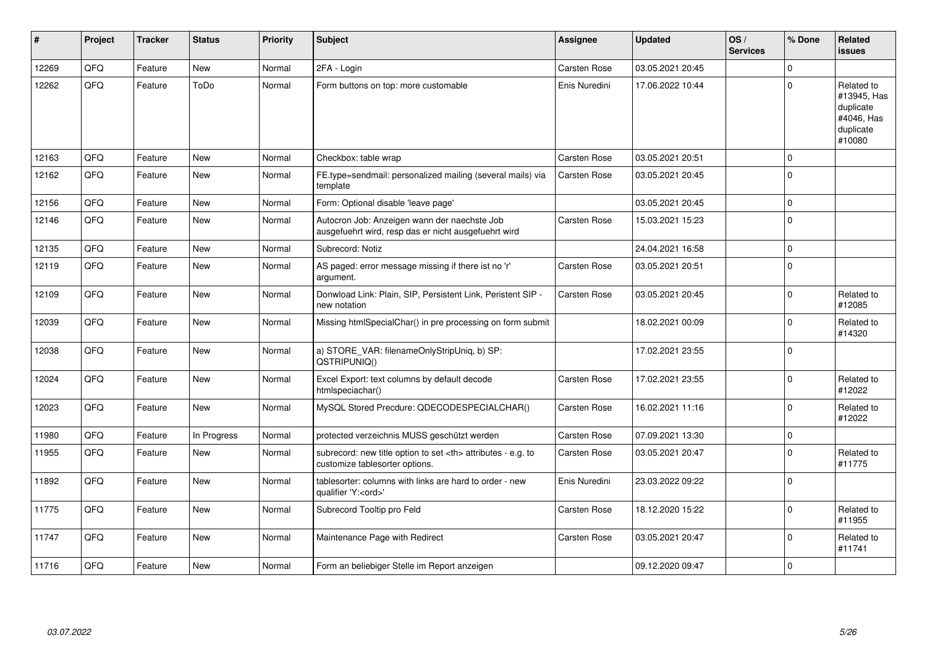| #     | Project | <b>Tracker</b> | <b>Status</b> | <b>Priority</b> | Subject                                                                                              | <b>Assignee</b>                                        | <b>Updated</b>   | OS/<br><b>Services</b> | % Done      | Related<br><b>issues</b>                                                    |                      |
|-------|---------|----------------|---------------|-----------------|------------------------------------------------------------------------------------------------------|--------------------------------------------------------|------------------|------------------------|-------------|-----------------------------------------------------------------------------|----------------------|
| 12269 | QFQ     | Feature        | <b>New</b>    | Normal          | 2FA - Login                                                                                          | Carsten Rose                                           | 03.05.2021 20:45 |                        | $\Omega$    |                                                                             |                      |
| 12262 | QFQ     | Feature        | ToDo          | Normal          | Form buttons on top: more customable                                                                 | Enis Nuredini                                          | 17.06.2022 10:44 |                        | $\Omega$    | Related to<br>#13945, Has<br>duplicate<br>#4046, Has<br>duplicate<br>#10080 |                      |
| 12163 | QFQ     | Feature        | <b>New</b>    | Normal          | Checkbox: table wrap                                                                                 | Carsten Rose                                           | 03.05.2021 20:51 |                        | $\Omega$    |                                                                             |                      |
| 12162 | QFQ     | Feature        | <b>New</b>    | Normal          | FE.type=sendmail: personalized mailing (several mails) via<br>template                               | Carsten Rose                                           | 03.05.2021 20:45 |                        | $\Omega$    |                                                                             |                      |
| 12156 | QFQ     | Feature        | <b>New</b>    | Normal          | Form: Optional disable 'leave page'                                                                  |                                                        | 03.05.2021 20:45 |                        | $\mathbf 0$ |                                                                             |                      |
| 12146 | QFQ     | Feature        | <b>New</b>    | Normal          | Autocron Job: Anzeigen wann der naechste Job<br>ausgefuehrt wird, resp das er nicht ausgefuehrt wird | Carsten Rose                                           | 15.03.2021 15:23 |                        | $\Omega$    |                                                                             |                      |
| 12135 | QFQ     | Feature        | <b>New</b>    | Normal          | Subrecord: Notiz                                                                                     |                                                        | 24.04.2021 16:58 |                        | $\mathbf 0$ |                                                                             |                      |
| 12119 | QFQ     | Feature        | <b>New</b>    | Normal          | AS paged: error message missing if there ist no 'r'<br>argument.                                     | Carsten Rose                                           | 03.05.2021 20:51 |                        | $\mathbf 0$ |                                                                             |                      |
| 12109 | QFQ     | Feature        | <b>New</b>    | Normal          | Donwload Link: Plain, SIP, Persistent Link, Peristent SIP -<br>new notation                          | Carsten Rose                                           | 03.05.2021 20:45 |                        | $\Omega$    | Related to<br>#12085                                                        |                      |
| 12039 | QFQ     | Feature        | <b>New</b>    | Normal          | Missing htmlSpecialChar() in pre processing on form submit                                           |                                                        | 18.02.2021 00:09 |                        | $\Omega$    | Related to<br>#14320                                                        |                      |
| 12038 | QFQ     | Feature        | <b>New</b>    | Normal          | a) STORE_VAR: filenameOnlyStripUniq, b) SP:<br>QSTRIPUNIQ()                                          |                                                        | 17.02.2021 23:55 |                        | $\Omega$    |                                                                             |                      |
| 12024 | QFQ     | Feature        | <b>New</b>    | Normal          | Excel Export: text columns by default decode<br>htmlspeciachar()                                     | Carsten Rose                                           | 17.02.2021 23:55 |                        | $\mathbf 0$ | Related to<br>#12022                                                        |                      |
| 12023 | QFQ     | Feature        | New           | Normal          | MySQL Stored Precdure: QDECODESPECIALCHAR()                                                          | Carsten Rose                                           | 16.02.2021 11:16 |                        | $\mathbf 0$ | Related to<br>#12022                                                        |                      |
| 11980 | QFQ     | Feature        | In Progress   | Normal          | protected verzeichnis MUSS geschützt werden                                                          | <b>Carsten Rose</b>                                    | 07.09.2021 13:30 |                        | $\mathbf 0$ |                                                                             |                      |
| 11955 | QFQ     | Feature        | <b>New</b>    | Normal          | subrecord: new title option to set <th> attributes - e.g. to<br/>customize tablesorter options.</th> | attributes - e.g. to<br>customize tablesorter options. | Carsten Rose     | 03.05.2021 20:47       |             | $\Omega$                                                                    | Related to<br>#11775 |
| 11892 | QFQ     | Feature        | <b>New</b>    | Normal          | tablesorter: columns with links are hard to order - new<br>qualifier 'Y: <ord>'</ord>                | Enis Nuredini                                          | 23.03.2022 09:22 |                        | $\Omega$    |                                                                             |                      |
| 11775 | QFQ     | Feature        | <b>New</b>    | Normal          | Subrecord Tooltip pro Feld                                                                           | Carsten Rose                                           | 18.12.2020 15:22 |                        | $\Omega$    | Related to<br>#11955                                                        |                      |
| 11747 | QFQ     | Feature        | <b>New</b>    | Normal          | Maintenance Page with Redirect                                                                       | Carsten Rose                                           | 03.05.2021 20:47 |                        | $\mathbf 0$ | Related to<br>#11741                                                        |                      |
| 11716 | QFQ     | Feature        | <b>New</b>    | Normal          | Form an beliebiger Stelle im Report anzeigen                                                         |                                                        | 09.12.2020 09:47 |                        | $\mathbf 0$ |                                                                             |                      |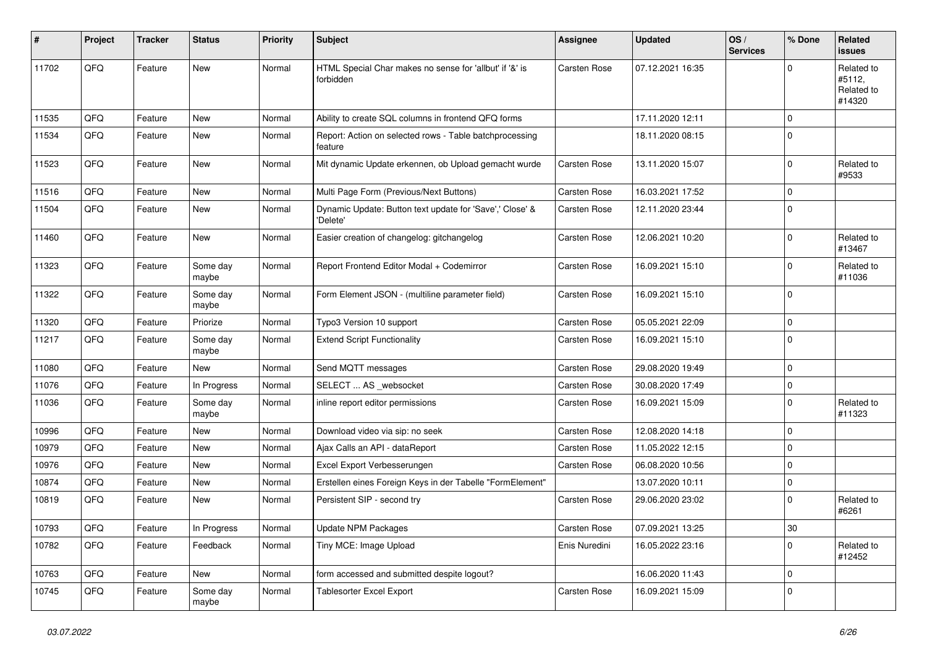| #     | Project | <b>Tracker</b> | <b>Status</b>     | <b>Priority</b> | <b>Subject</b>                                                       | <b>Assignee</b>     | <b>Updated</b>   | OS/<br><b>Services</b> | % Done      | Related<br><b>issues</b>                     |
|-------|---------|----------------|-------------------|-----------------|----------------------------------------------------------------------|---------------------|------------------|------------------------|-------------|----------------------------------------------|
| 11702 | QFQ     | Feature        | New               | Normal          | HTML Special Char makes no sense for 'allbut' if '&' is<br>forbidden | <b>Carsten Rose</b> | 07.12.2021 16:35 |                        | $\Omega$    | Related to<br>#5112,<br>Related to<br>#14320 |
| 11535 | QFQ     | Feature        | <b>New</b>        | Normal          | Ability to create SQL columns in frontend QFQ forms                  |                     | 17.11.2020 12:11 |                        | $\mathbf 0$ |                                              |
| 11534 | QFQ     | Feature        | <b>New</b>        | Normal          | Report: Action on selected rows - Table batchprocessing<br>feature   |                     | 18.11.2020 08:15 |                        | $\mathbf 0$ |                                              |
| 11523 | QFQ     | Feature        | New               | Normal          | Mit dynamic Update erkennen, ob Upload gemacht wurde                 | Carsten Rose        | 13.11.2020 15:07 |                        | 0           | Related to<br>#9533                          |
| 11516 | QFQ     | Feature        | New               | Normal          | Multi Page Form (Previous/Next Buttons)                              | Carsten Rose        | 16.03.2021 17:52 |                        | 0           |                                              |
| 11504 | QFQ     | Feature        | New               | Normal          | Dynamic Update: Button text update for 'Save',' Close' &<br>'Delete' | Carsten Rose        | 12.11.2020 23:44 |                        | $\Omega$    |                                              |
| 11460 | QFQ     | Feature        | <b>New</b>        | Normal          | Easier creation of changelog: gitchangelog                           | Carsten Rose        | 12.06.2021 10:20 |                        | $\mathbf 0$ | Related to<br>#13467                         |
| 11323 | QFQ     | Feature        | Some day<br>maybe | Normal          | Report Frontend Editor Modal + Codemirror                            | Carsten Rose        | 16.09.2021 15:10 |                        | 0           | Related to<br>#11036                         |
| 11322 | QFQ     | Feature        | Some day<br>maybe | Normal          | Form Element JSON - (multiline parameter field)                      | Carsten Rose        | 16.09.2021 15:10 |                        | $\Omega$    |                                              |
| 11320 | QFQ     | Feature        | Priorize          | Normal          | Typo3 Version 10 support                                             | Carsten Rose        | 05.05.2021 22:09 |                        | $\mathbf 0$ |                                              |
| 11217 | QFQ     | Feature        | Some day<br>maybe | Normal          | <b>Extend Script Functionality</b>                                   | Carsten Rose        | 16.09.2021 15:10 |                        | $\Omega$    |                                              |
| 11080 | QFQ     | Feature        | New               | Normal          | Send MQTT messages                                                   | <b>Carsten Rose</b> | 29.08.2020 19:49 |                        | $\mathbf 0$ |                                              |
| 11076 | QFQ     | Feature        | In Progress       | Normal          | SELECT  AS websocket                                                 | Carsten Rose        | 30.08.2020 17:49 |                        | 0           |                                              |
| 11036 | QFQ     | Feature        | Some dav<br>maybe | Normal          | inline report editor permissions                                     | Carsten Rose        | 16.09.2021 15:09 |                        | $\mathbf 0$ | Related to<br>#11323                         |
| 10996 | QFQ     | Feature        | New               | Normal          | Download video via sip: no seek                                      | Carsten Rose        | 12.08.2020 14:18 |                        | 0           |                                              |
| 10979 | QFQ     | Feature        | New               | Normal          | Ajax Calls an API - dataReport                                       | Carsten Rose        | 11.05.2022 12:15 |                        | $\mathbf 0$ |                                              |
| 10976 | QFQ     | Feature        | <b>New</b>        | Normal          | Excel Export Verbesserungen                                          | Carsten Rose        | 06.08.2020 10:56 |                        | 0           |                                              |
| 10874 | QFQ     | Feature        | New               | Normal          | Erstellen eines Foreign Keys in der Tabelle "FormElement"            |                     | 13.07.2020 10:11 |                        | 0           |                                              |
| 10819 | QFQ     | Feature        | New               | Normal          | Persistent SIP - second try                                          | Carsten Rose        | 29.06.2020 23:02 |                        | $\Omega$    | Related to<br>#6261                          |
| 10793 | QFQ     | Feature        | In Progress       | Normal          | <b>Update NPM Packages</b>                                           | Carsten Rose        | 07.09.2021 13:25 |                        | 30          |                                              |
| 10782 | QFQ     | Feature        | Feedback          | Normal          | Tiny MCE: Image Upload                                               | Enis Nuredini       | 16.05.2022 23:16 |                        | $\mathbf 0$ | Related to<br>#12452                         |
| 10763 | QFQ     | Feature        | New               | Normal          | form accessed and submitted despite logout?                          |                     | 16.06.2020 11:43 |                        | 0           |                                              |
| 10745 | QFQ     | Feature        | Some day<br>maybe | Normal          | <b>Tablesorter Excel Export</b>                                      | Carsten Rose        | 16.09.2021 15:09 |                        | $\mathbf 0$ |                                              |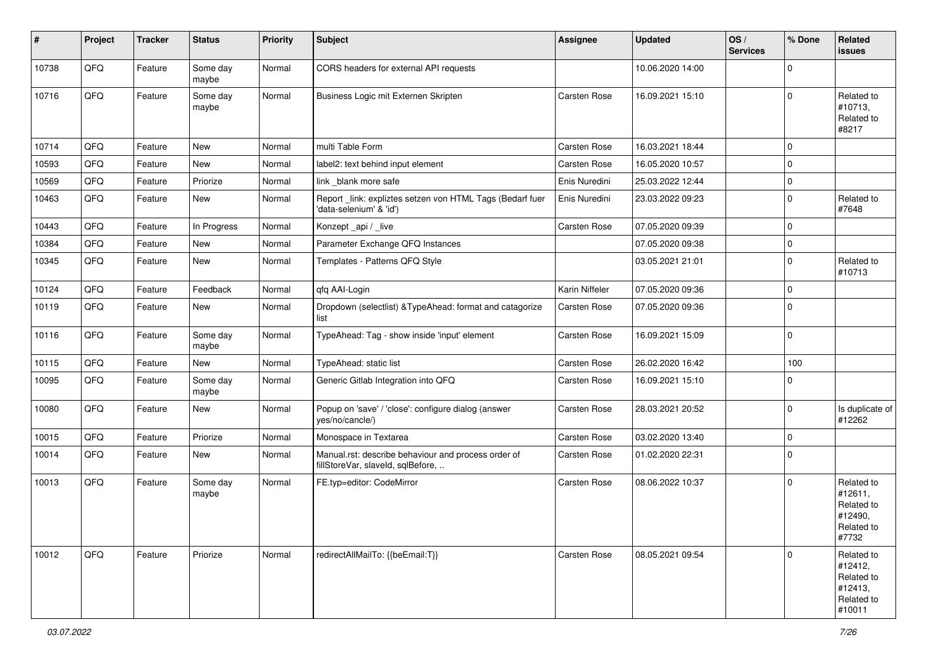| #     | Project | <b>Tracker</b> | <b>Status</b>     | <b>Priority</b> | <b>Subject</b>                                                                           | <b>Assignee</b> | <b>Updated</b>   | OS/<br><b>Services</b> | % Done      | Related<br>issues                                                      |
|-------|---------|----------------|-------------------|-----------------|------------------------------------------------------------------------------------------|-----------------|------------------|------------------------|-------------|------------------------------------------------------------------------|
| 10738 | QFQ     | Feature        | Some day<br>maybe | Normal          | CORS headers for external API requests                                                   |                 | 10.06.2020 14:00 |                        | $\mathbf 0$ |                                                                        |
| 10716 | QFQ     | Feature        | Some day<br>maybe | Normal          | Business Logic mit Externen Skripten                                                     | Carsten Rose    | 16.09.2021 15:10 |                        | $\mathbf 0$ | Related to<br>#10713,<br>Related to<br>#8217                           |
| 10714 | QFQ     | Feature        | <b>New</b>        | Normal          | multi Table Form                                                                         | Carsten Rose    | 16.03.2021 18:44 |                        | $\mathbf 0$ |                                                                        |
| 10593 | QFQ     | Feature        | <b>New</b>        | Normal          | label2: text behind input element                                                        | Carsten Rose    | 16.05.2020 10:57 |                        | 0           |                                                                        |
| 10569 | QFQ     | Feature        | Priorize          | Normal          | link _blank more safe                                                                    | Enis Nuredini   | 25.03.2022 12:44 |                        | 0           |                                                                        |
| 10463 | QFQ     | Feature        | New               | Normal          | Report_link: expliztes setzen von HTML Tags (Bedarf fuer<br>'data-selenium' & 'id')      | Enis Nuredini   | 23.03.2022 09:23 |                        | $\mathbf 0$ | Related to<br>#7648                                                    |
| 10443 | QFQ     | Feature        | In Progress       | Normal          | Konzept_api / _live                                                                      | Carsten Rose    | 07.05.2020 09:39 |                        | 0           |                                                                        |
| 10384 | QFQ     | Feature        | New               | Normal          | Parameter Exchange QFQ Instances                                                         |                 | 07.05.2020 09:38 |                        | 0           |                                                                        |
| 10345 | QFQ     | Feature        | New               | Normal          | Templates - Patterns QFQ Style                                                           |                 | 03.05.2021 21:01 |                        | $\mathbf 0$ | Related to<br>#10713                                                   |
| 10124 | QFQ     | Feature        | Feedback          | Normal          | qfq AAI-Login                                                                            | Karin Niffeler  | 07.05.2020 09:36 |                        | 0           |                                                                        |
| 10119 | QFQ     | Feature        | New               | Normal          | Dropdown (selectlist) & TypeAhead: format and catagorize<br>list                         | Carsten Rose    | 07.05.2020 09:36 |                        | $\mathbf 0$ |                                                                        |
| 10116 | QFQ     | Feature        | Some day<br>maybe | Normal          | TypeAhead: Tag - show inside 'input' element                                             | Carsten Rose    | 16.09.2021 15:09 |                        | $\mathbf 0$ |                                                                        |
| 10115 | QFQ     | Feature        | New               | Normal          | TypeAhead: static list                                                                   | Carsten Rose    | 26.02.2020 16:42 |                        | 100         |                                                                        |
| 10095 | QFQ     | Feature        | Some day<br>maybe | Normal          | Generic Gitlab Integration into QFQ                                                      | Carsten Rose    | 16.09.2021 15:10 |                        | $\mathbf 0$ |                                                                        |
| 10080 | QFQ     | Feature        | New               | Normal          | Popup on 'save' / 'close': configure dialog (answer<br>yes/no/cancle/)                   | Carsten Rose    | 28.03.2021 20:52 |                        | 0           | Is duplicate of<br>#12262                                              |
| 10015 | QFQ     | Feature        | Priorize          | Normal          | Monospace in Textarea                                                                    | Carsten Rose    | 03.02.2020 13:40 |                        | $\mathbf 0$ |                                                                        |
| 10014 | QFQ     | Feature        | New               | Normal          | Manual.rst: describe behaviour and process order of<br>fillStoreVar, slaveId, sqlBefore, | Carsten Rose    | 01.02.2020 22:31 |                        | $\mathbf 0$ |                                                                        |
| 10013 | QFQ     | Feature        | Some day<br>maybe | Normal          | FE.typ=editor: CodeMirror                                                                | Carsten Rose    | 08.06.2022 10:37 |                        | $\mathbf 0$ | Related to<br>#12611,<br>Related to<br>#12490,<br>Related to<br>#7732  |
| 10012 | QFQ     | Feature        | Priorize          | Normal          | redirectAllMailTo: {{beEmail:T}}                                                         | Carsten Rose    | 08.05.2021 09:54 |                        | $\mathbf 0$ | Related to<br>#12412,<br>Related to<br>#12413,<br>Related to<br>#10011 |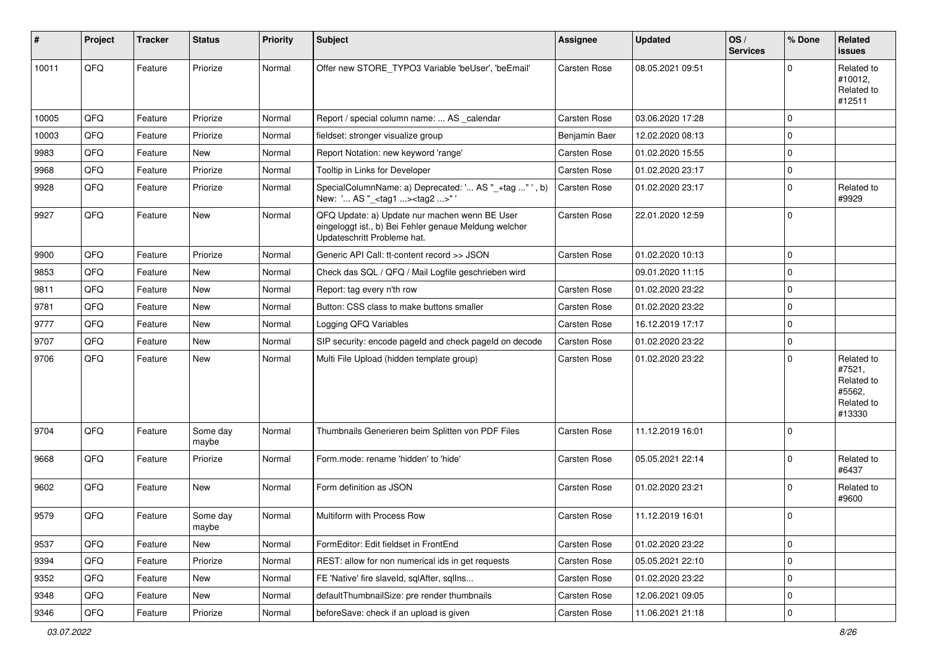| #     | Project | <b>Tracker</b> | <b>Status</b>     | <b>Priority</b> | <b>Subject</b>                                                                                                                        | <b>Assignee</b> | <b>Updated</b>   | OS/<br><b>Services</b> | % Done      | Related<br><b>issues</b>                                             |
|-------|---------|----------------|-------------------|-----------------|---------------------------------------------------------------------------------------------------------------------------------------|-----------------|------------------|------------------------|-------------|----------------------------------------------------------------------|
| 10011 | QFQ     | Feature        | Priorize          | Normal          | Offer new STORE TYPO3 Variable 'beUser', 'beEmail'                                                                                    | Carsten Rose    | 08.05.2021 09:51 |                        | $\Omega$    | Related to<br>#10012,<br>Related to<br>#12511                        |
| 10005 | QFQ     | Feature        | Priorize          | Normal          | Report / special column name:  AS _calendar                                                                                           | Carsten Rose    | 03.06.2020 17:28 |                        | 0           |                                                                      |
| 10003 | QFQ     | Feature        | Priorize          | Normal          | fieldset: stronger visualize group                                                                                                    | Benjamin Baer   | 12.02.2020 08:13 |                        | 0           |                                                                      |
| 9983  | QFQ     | Feature        | New               | Normal          | Report Notation: new keyword 'range'                                                                                                  | Carsten Rose    | 01.02.2020 15:55 |                        | 0           |                                                                      |
| 9968  | QFQ     | Feature        | Priorize          | Normal          | Tooltip in Links for Developer                                                                                                        | Carsten Rose    | 01.02.2020 23:17 |                        | 0           |                                                                      |
| 9928  | QFQ     | Feature        | Priorize          | Normal          | SpecialColumnName: a) Deprecated: ' AS "_+tag " ', b)<br>New: ' AS "_ <tag1><tag2>" '</tag2></tag1>                                   | Carsten Rose    | 01.02.2020 23:17 |                        | 0           | Related to<br>#9929                                                  |
| 9927  | QFQ     | Feature        | New               | Normal          | QFQ Update: a) Update nur machen wenn BE User<br>eingeloggt ist., b) Bei Fehler genaue Meldung welcher<br>Updateschritt Probleme hat. | Carsten Rose    | 22.01.2020 12:59 |                        | 0           |                                                                      |
| 9900  | QFQ     | Feature        | Priorize          | Normal          | Generic API Call: tt-content record >> JSON                                                                                           | Carsten Rose    | 01.02.2020 10:13 |                        | $\mathbf 0$ |                                                                      |
| 9853  | QFQ     | Feature        | <b>New</b>        | Normal          | Check das SQL / QFQ / Mail Logfile geschrieben wird                                                                                   |                 | 09.01.2020 11:15 |                        | 0           |                                                                      |
| 9811  | QFQ     | Feature        | New               | Normal          | Report: tag every n'th row                                                                                                            | Carsten Rose    | 01.02.2020 23:22 |                        | 0           |                                                                      |
| 9781  | QFQ     | Feature        | New               | Normal          | Button: CSS class to make buttons smaller                                                                                             | Carsten Rose    | 01.02.2020 23:22 |                        | $\mathbf 0$ |                                                                      |
| 9777  | QFQ     | Feature        | New               | Normal          | Logging QFQ Variables                                                                                                                 | Carsten Rose    | 16.12.2019 17:17 |                        | 0           |                                                                      |
| 9707  | QFQ     | Feature        | New               | Normal          | SIP security: encode pageld and check pageld on decode                                                                                | Carsten Rose    | 01.02.2020 23:22 |                        | $\mathbf 0$ |                                                                      |
| 9706  | QFQ     | Feature        | New               | Normal          | Multi File Upload (hidden template group)                                                                                             | Carsten Rose    | 01.02.2020 23:22 |                        | $\mathbf 0$ | Related to<br>#7521,<br>Related to<br>#5562,<br>Related to<br>#13330 |
| 9704  | QFQ     | Feature        | Some day<br>maybe | Normal          | Thumbnails Generieren beim Splitten von PDF Files                                                                                     | Carsten Rose    | 11.12.2019 16:01 |                        | $\Omega$    |                                                                      |
| 9668  | QFQ     | Feature        | Priorize          | Normal          | Form.mode: rename 'hidden' to 'hide'                                                                                                  | Carsten Rose    | 05.05.2021 22:14 |                        | 0           | Related to<br>#6437                                                  |
| 9602  | QFQ     | Feature        | New               | Normal          | Form definition as JSON                                                                                                               | Carsten Rose    | 01.02.2020 23:21 |                        | 0           | Related to<br>#9600                                                  |
| 9579  | QFQ     | Feature        | Some day<br>maybe | Normal          | Multiform with Process Row                                                                                                            | Carsten Rose    | 11.12.2019 16:01 |                        | 0           |                                                                      |
| 9537  | QFQ     | Feature        | New               | Normal          | FormEditor: Edit fieldset in FrontEnd                                                                                                 | Carsten Rose    | 01.02.2020 23:22 |                        | $\mathbf 0$ |                                                                      |
| 9394  | QFQ     | Feature        | Priorize          | Normal          | REST: allow for non numerical ids in get requests                                                                                     | Carsten Rose    | 05.05.2021 22:10 |                        | 0           |                                                                      |
| 9352  | QFQ     | Feature        | New               | Normal          | FE 'Native' fire slaveld, sqlAfter, sqlIns                                                                                            | Carsten Rose    | 01.02.2020 23:22 |                        | $\mathbf 0$ |                                                                      |
| 9348  | QFQ     | Feature        | New               | Normal          | defaultThumbnailSize: pre render thumbnails                                                                                           | Carsten Rose    | 12.06.2021 09:05 |                        | 0           |                                                                      |
| 9346  | QFQ     | Feature        | Priorize          | Normal          | beforeSave: check if an upload is given                                                                                               | Carsten Rose    | 11.06.2021 21:18 |                        | $\mathbf 0$ |                                                                      |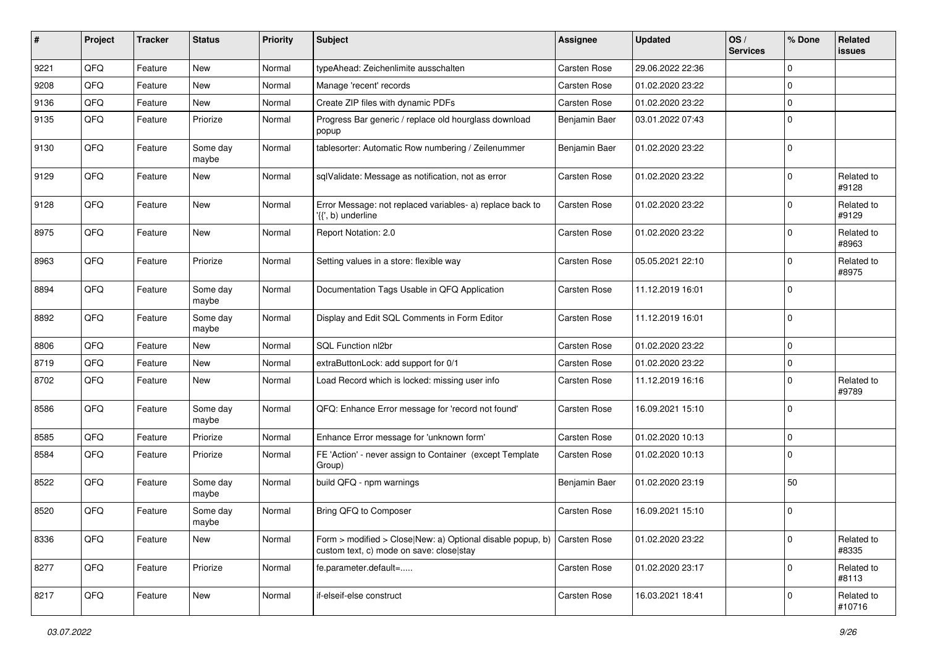| #    | Project | <b>Tracker</b> | <b>Status</b>     | <b>Priority</b> | <b>Subject</b>                                                                                                              | <b>Assignee</b>     | <b>Updated</b>   | OS/<br><b>Services</b> | % Done      | Related<br><b>issues</b> |
|------|---------|----------------|-------------------|-----------------|-----------------------------------------------------------------------------------------------------------------------------|---------------------|------------------|------------------------|-------------|--------------------------|
| 9221 | QFQ     | Feature        | <b>New</b>        | Normal          | typeAhead: Zeichenlimite ausschalten                                                                                        | <b>Carsten Rose</b> | 29.06.2022 22:36 |                        | $\mathbf 0$ |                          |
| 9208 | QFQ     | Feature        | <b>New</b>        | Normal          | Manage 'recent' records                                                                                                     | Carsten Rose        | 01.02.2020 23:22 |                        | $\mathbf 0$ |                          |
| 9136 | QFQ     | Feature        | New               | Normal          | Create ZIP files with dynamic PDFs                                                                                          | Carsten Rose        | 01.02.2020 23:22 |                        | $\mathbf 0$ |                          |
| 9135 | QFQ     | Feature        | Priorize          | Normal          | Progress Bar generic / replace old hourglass download<br>popup                                                              | Benjamin Baer       | 03.01.2022 07:43 |                        | $\mathbf 0$ |                          |
| 9130 | QFQ     | Feature        | Some day<br>maybe | Normal          | tablesorter: Automatic Row numbering / Zeilenummer                                                                          | Benjamin Baer       | 01.02.2020 23:22 |                        | $\mathbf 0$ |                          |
| 9129 | QFQ     | Feature        | New               | Normal          | sqlValidate: Message as notification, not as error                                                                          | Carsten Rose        | 01.02.2020 23:22 |                        | $\Omega$    | Related to<br>#9128      |
| 9128 | QFQ     | Feature        | New               | Normal          | Error Message: not replaced variables- a) replace back to<br>'{{', b) underline                                             | Carsten Rose        | 01.02.2020 23:22 |                        | 0           | Related to<br>#9129      |
| 8975 | QFQ     | Feature        | New               | Normal          | Report Notation: 2.0                                                                                                        | Carsten Rose        | 01.02.2020 23:22 |                        | $\mathbf 0$ | Related to<br>#8963      |
| 8963 | QFQ     | Feature        | Priorize          | Normal          | Setting values in a store: flexible way                                                                                     | Carsten Rose        | 05.05.2021 22:10 |                        | $\mathbf 0$ | Related to<br>#8975      |
| 8894 | QFQ     | Feature        | Some day<br>maybe | Normal          | Documentation Tags Usable in QFQ Application                                                                                | Carsten Rose        | 11.12.2019 16:01 |                        | 0           |                          |
| 8892 | QFQ     | Feature        | Some day<br>maybe | Normal          | Display and Edit SQL Comments in Form Editor                                                                                | Carsten Rose        | 11.12.2019 16:01 |                        | $\mathbf 0$ |                          |
| 8806 | QFQ     | Feature        | <b>New</b>        | Normal          | SQL Function nl2br                                                                                                          | <b>Carsten Rose</b> | 01.02.2020 23:22 |                        | $\mathbf 0$ |                          |
| 8719 | QFQ     | Feature        | New               | Normal          | extraButtonLock: add support for 0/1                                                                                        | Carsten Rose        | 01.02.2020 23:22 |                        | 0           |                          |
| 8702 | QFQ     | Feature        | New               | Normal          | Load Record which is locked: missing user info                                                                              | Carsten Rose        | 11.12.2019 16:16 |                        | 0           | Related to<br>#9789      |
| 8586 | QFQ     | Feature        | Some day<br>maybe | Normal          | QFQ: Enhance Error message for 'record not found'                                                                           | Carsten Rose        | 16.09.2021 15:10 |                        | $\mathbf 0$ |                          |
| 8585 | QFQ     | Feature        | Priorize          | Normal          | Enhance Error message for 'unknown form'                                                                                    | Carsten Rose        | 01.02.2020 10:13 |                        | $\mathbf 0$ |                          |
| 8584 | QFQ     | Feature        | Priorize          | Normal          | FE 'Action' - never assign to Container (except Template)<br>Group)                                                         | Carsten Rose        | 01.02.2020 10:13 |                        | 0           |                          |
| 8522 | QFQ     | Feature        | Some day<br>maybe | Normal          | build QFQ - npm warnings                                                                                                    | Benjamin Baer       | 01.02.2020 23:19 |                        | 50          |                          |
| 8520 | QFQ     | Feature        | Some day<br>maybe | Normal          | Bring QFQ to Composer                                                                                                       | Carsten Rose        | 16.09.2021 15:10 |                        | 0           |                          |
| 8336 | QFQ     | Feature        | New               | Normal          | Form > modified > Close New: a) Optional disable popup, b) $\vert$ Carsten Rose<br>custom text, c) mode on save: close stay |                     | 01.02.2020 23:22 |                        | $\mathbf 0$ | Related to<br>#8335      |
| 8277 | QFQ     | Feature        | Priorize          | Normal          | fe.parameter.default=                                                                                                       | Carsten Rose        | 01.02.2020 23:17 |                        | $\mathbf 0$ | Related to<br>#8113      |
| 8217 | QFG     | Feature        | New               | Normal          | if-elseif-else construct                                                                                                    | Carsten Rose        | 16.03.2021 18:41 |                        | $\mathbf 0$ | Related to<br>#10716     |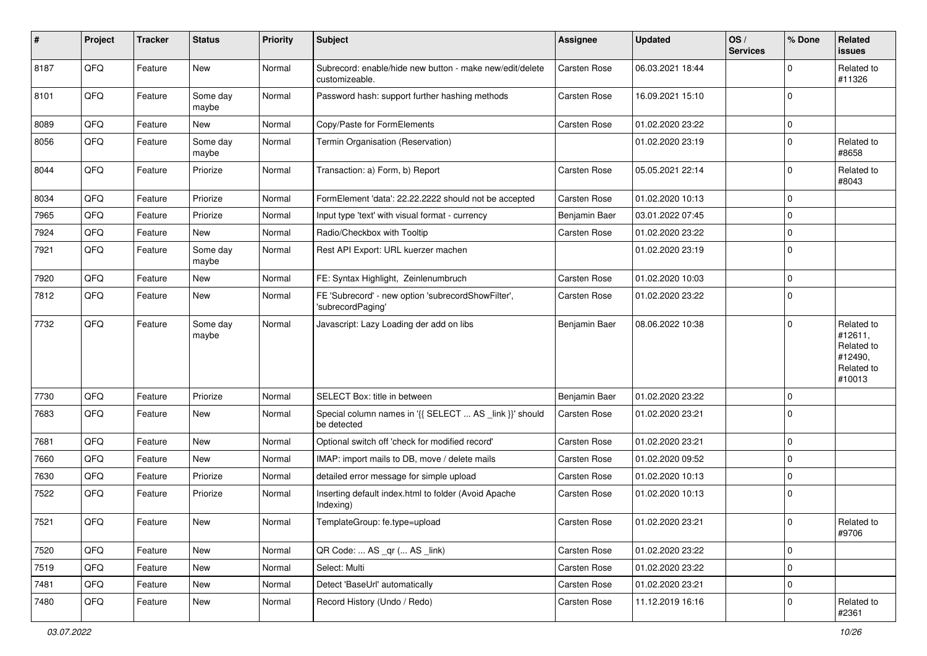| $\sharp$ | Project | <b>Tracker</b> | <b>Status</b>     | <b>Priority</b> | <b>Subject</b>                                                             | <b>Assignee</b> | <b>Updated</b>   | OS/<br><b>Services</b> | % Done      | Related<br>issues                                                      |
|----------|---------|----------------|-------------------|-----------------|----------------------------------------------------------------------------|-----------------|------------------|------------------------|-------------|------------------------------------------------------------------------|
| 8187     | QFQ     | Feature        | <b>New</b>        | Normal          | Subrecord: enable/hide new button - make new/edit/delete<br>customizeable. | Carsten Rose    | 06.03.2021 18:44 |                        | $\Omega$    | Related to<br>#11326                                                   |
| 8101     | QFQ     | Feature        | Some day<br>maybe | Normal          | Password hash: support further hashing methods                             | Carsten Rose    | 16.09.2021 15:10 |                        | $\Omega$    |                                                                        |
| 8089     | QFQ     | Feature        | New               | Normal          | Copy/Paste for FormElements                                                | Carsten Rose    | 01.02.2020 23:22 |                        | 0           |                                                                        |
| 8056     | QFQ     | Feature        | Some day<br>maybe | Normal          | Termin Organisation (Reservation)                                          |                 | 01.02.2020 23:19 |                        | $\mathbf 0$ | Related to<br>#8658                                                    |
| 8044     | QFQ     | Feature        | Priorize          | Normal          | Transaction: a) Form, b) Report                                            | Carsten Rose    | 05.05.2021 22:14 |                        | $\mathbf 0$ | Related to<br>#8043                                                    |
| 8034     | QFQ     | Feature        | Priorize          | Normal          | FormElement 'data': 22.22.2222 should not be accepted                      | Carsten Rose    | 01.02.2020 10:13 |                        | 0           |                                                                        |
| 7965     | QFQ     | Feature        | Priorize          | Normal          | Input type 'text' with visual format - currency                            | Benjamin Baer   | 03.01.2022 07:45 |                        | 0           |                                                                        |
| 7924     | QFQ     | Feature        | <b>New</b>        | Normal          | Radio/Checkbox with Tooltip                                                | Carsten Rose    | 01.02.2020 23:22 |                        | 0           |                                                                        |
| 7921     | QFQ     | Feature        | Some day<br>maybe | Normal          | Rest API Export: URL kuerzer machen                                        |                 | 01.02.2020 23:19 |                        | $\mathbf 0$ |                                                                        |
| 7920     | QFQ     | Feature        | New               | Normal          | FE: Syntax Highlight, Zeinlenumbruch                                       | Carsten Rose    | 01.02.2020 10:03 |                        | 0           |                                                                        |
| 7812     | QFQ     | Feature        | New               | Normal          | FE 'Subrecord' - new option 'subrecordShowFilter',<br>'subrecordPaging'    | Carsten Rose    | 01.02.2020 23:22 |                        | 0           |                                                                        |
| 7732     | QFQ     | Feature        | Some day<br>maybe | Normal          | Javascript: Lazy Loading der add on libs                                   | Benjamin Baer   | 08.06.2022 10:38 |                        | $\mathbf 0$ | Related to<br>#12611,<br>Related to<br>#12490,<br>Related to<br>#10013 |
| 7730     | QFQ     | Feature        | Priorize          | Normal          | SELECT Box: title in between                                               | Benjamin Baer   | 01.02.2020 23:22 |                        | 0           |                                                                        |
| 7683     | QFQ     | Feature        | New               | Normal          | Special column names in '{{ SELECT  AS _link }}' should<br>be detected     | Carsten Rose    | 01.02.2020 23:21 |                        | $\mathbf 0$ |                                                                        |
| 7681     | QFQ     | Feature        | <b>New</b>        | Normal          | Optional switch off 'check for modified record'                            | Carsten Rose    | 01.02.2020 23:21 |                        | $\Omega$    |                                                                        |
| 7660     | QFQ     | Feature        | New               | Normal          | IMAP: import mails to DB, move / delete mails                              | Carsten Rose    | 01.02.2020 09:52 |                        | 0           |                                                                        |
| 7630     | QFQ     | Feature        | Priorize          | Normal          | detailed error message for simple upload                                   | Carsten Rose    | 01.02.2020 10:13 |                        | 0           |                                                                        |
| 7522     | QFQ     | Feature        | Priorize          | Normal          | Inserting default index.html to folder (Avoid Apache<br>Indexing)          | Carsten Rose    | 01.02.2020 10:13 |                        | $\mathbf 0$ |                                                                        |
| 7521     | QFQ     | Feature        | New               | Normal          | TemplateGroup: fe.type=upload                                              | Carsten Rose    | 01.02.2020 23:21 |                        | $\mathbf 0$ | Related to<br>#9706                                                    |
| 7520     | QFQ     | Feature        | New               | Normal          | QR Code:  AS _qr ( AS _link)                                               | Carsten Rose    | 01.02.2020 23:22 |                        | $\mathbf 0$ |                                                                        |
| 7519     | QFQ     | Feature        | New               | Normal          | Select: Multi                                                              | Carsten Rose    | 01.02.2020 23:22 |                        | 0           |                                                                        |
| 7481     | QFQ     | Feature        | New               | Normal          | Detect 'BaseUrl' automatically                                             | Carsten Rose    | 01.02.2020 23:21 |                        | 0           |                                                                        |
| 7480     | QFQ     | Feature        | New               | Normal          | Record History (Undo / Redo)                                               | Carsten Rose    | 11.12.2019 16:16 |                        | 0           | Related to<br>#2361                                                    |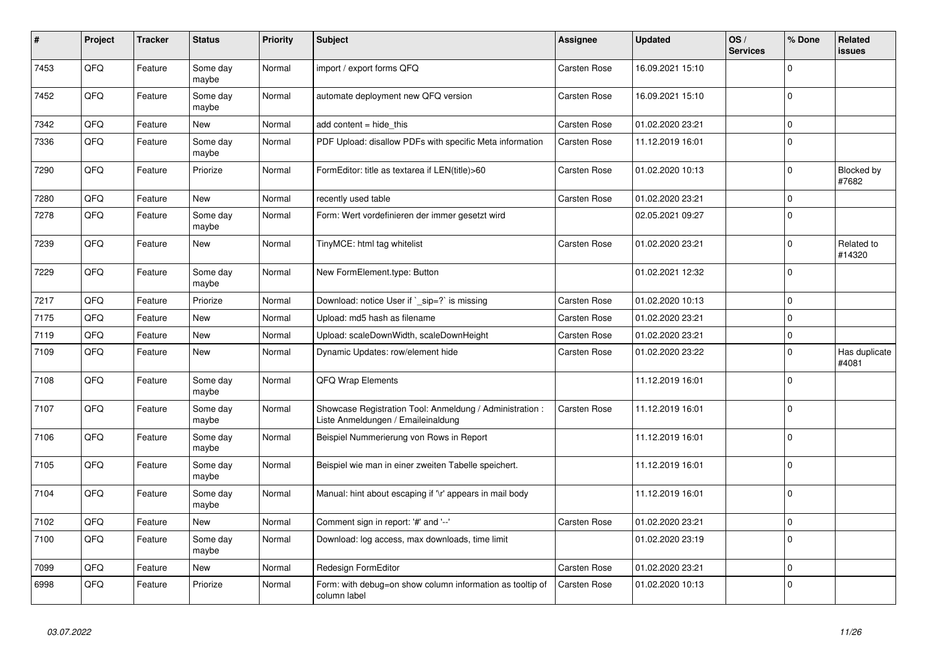| #    | Project | <b>Tracker</b> | <b>Status</b>     | <b>Priority</b> | Subject                                                                                        | <b>Assignee</b>     | <b>Updated</b>   | OS/<br><b>Services</b> | % Done      | <b>Related</b><br><b>issues</b> |
|------|---------|----------------|-------------------|-----------------|------------------------------------------------------------------------------------------------|---------------------|------------------|------------------------|-------------|---------------------------------|
| 7453 | QFQ     | Feature        | Some day<br>maybe | Normal          | import / export forms QFQ                                                                      | Carsten Rose        | 16.09.2021 15:10 |                        | $\Omega$    |                                 |
| 7452 | QFQ     | Feature        | Some day<br>maybe | Normal          | automate deployment new QFQ version                                                            | Carsten Rose        | 16.09.2021 15:10 |                        | $\mathbf 0$ |                                 |
| 7342 | QFQ     | Feature        | New               | Normal          | add content $=$ hide this                                                                      | <b>Carsten Rose</b> | 01.02.2020 23:21 |                        | $\Omega$    |                                 |
| 7336 | QFQ     | Feature        | Some day<br>maybe | Normal          | PDF Upload: disallow PDFs with specific Meta information                                       | Carsten Rose        | 11.12.2019 16:01 |                        | $\mathbf 0$ |                                 |
| 7290 | QFQ     | Feature        | Priorize          | Normal          | FormEditor: title as textarea if LEN(title)>60                                                 | Carsten Rose        | 01.02.2020 10:13 |                        | $\Omega$    | Blocked by<br>#7682             |
| 7280 | QFQ     | Feature        | New               | Normal          | recently used table                                                                            | Carsten Rose        | 01.02.2020 23:21 |                        | $\mathbf 0$ |                                 |
| 7278 | QFQ     | Feature        | Some day<br>maybe | Normal          | Form: Wert vordefinieren der immer gesetzt wird                                                |                     | 02.05.2021 09:27 |                        | $\mathbf 0$ |                                 |
| 7239 | QFQ     | Feature        | New               | Normal          | TinyMCE: html tag whitelist                                                                    | Carsten Rose        | 01.02.2020 23:21 |                        | $\Omega$    | Related to<br>#14320            |
| 7229 | QFQ     | Feature        | Some day<br>maybe | Normal          | New FormElement.type: Button                                                                   |                     | 01.02.2021 12:32 |                        | $\Omega$    |                                 |
| 7217 | QFQ     | Feature        | Priorize          | Normal          | Download: notice User if `_sip=?` is missing                                                   | Carsten Rose        | 01.02.2020 10:13 |                        | $\Omega$    |                                 |
| 7175 | QFQ     | Feature        | <b>New</b>        | Normal          | Upload: md5 hash as filename                                                                   | Carsten Rose        | 01.02.2020 23:21 |                        | $\Omega$    |                                 |
| 7119 | QFQ     | Feature        | <b>New</b>        | Normal          | Upload: scaleDownWidth, scaleDownHeight                                                        | Carsten Rose        | 01.02.2020 23:21 |                        | $\Omega$    |                                 |
| 7109 | QFQ     | Feature        | <b>New</b>        | Normal          | Dynamic Updates: row/element hide                                                              | Carsten Rose        | 01.02.2020 23:22 |                        | $\mathbf 0$ | Has duplicate<br>#4081          |
| 7108 | QFQ     | Feature        | Some day<br>maybe | Normal          | QFQ Wrap Elements                                                                              |                     | 11.12.2019 16:01 |                        | $\mathbf 0$ |                                 |
| 7107 | QFQ     | Feature        | Some day<br>maybe | Normal          | Showcase Registration Tool: Anmeldung / Administration :<br>Liste Anmeldungen / Emaileinaldung | Carsten Rose        | 11.12.2019 16:01 |                        | $\Omega$    |                                 |
| 7106 | QFQ     | Feature        | Some day<br>maybe | Normal          | Beispiel Nummerierung von Rows in Report                                                       |                     | 11.12.2019 16:01 |                        | $\Omega$    |                                 |
| 7105 | QFQ     | Feature        | Some day<br>maybe | Normal          | Beispiel wie man in einer zweiten Tabelle speichert.                                           |                     | 11.12.2019 16:01 |                        | $\mathbf 0$ |                                 |
| 7104 | QFQ     | Feature        | Some day<br>maybe | Normal          | Manual: hint about escaping if '\r' appears in mail body                                       |                     | 11.12.2019 16:01 |                        | $\Omega$    |                                 |
| 7102 | QFQ     | Feature        | <b>New</b>        | Normal          | Comment sign in report: '#' and '--'                                                           | <b>Carsten Rose</b> | 01.02.2020 23:21 |                        | $\mathbf 0$ |                                 |
| 7100 | QFQ     | Feature        | Some day<br>maybe | Normal          | Download: log access, max downloads, time limit                                                |                     | 01.02.2020 23:19 |                        | $\mathbf 0$ |                                 |
| 7099 | QFQ     | Feature        | <b>New</b>        | Normal          | Redesign FormEditor                                                                            | Carsten Rose        | 01.02.2020 23:21 |                        | $\Omega$    |                                 |
| 6998 | QFQ     | Feature        | Priorize          | Normal          | Form: with debug=on show column information as tooltip of<br>column label                      | Carsten Rose        | 01.02.2020 10:13 |                        | $\Omega$    |                                 |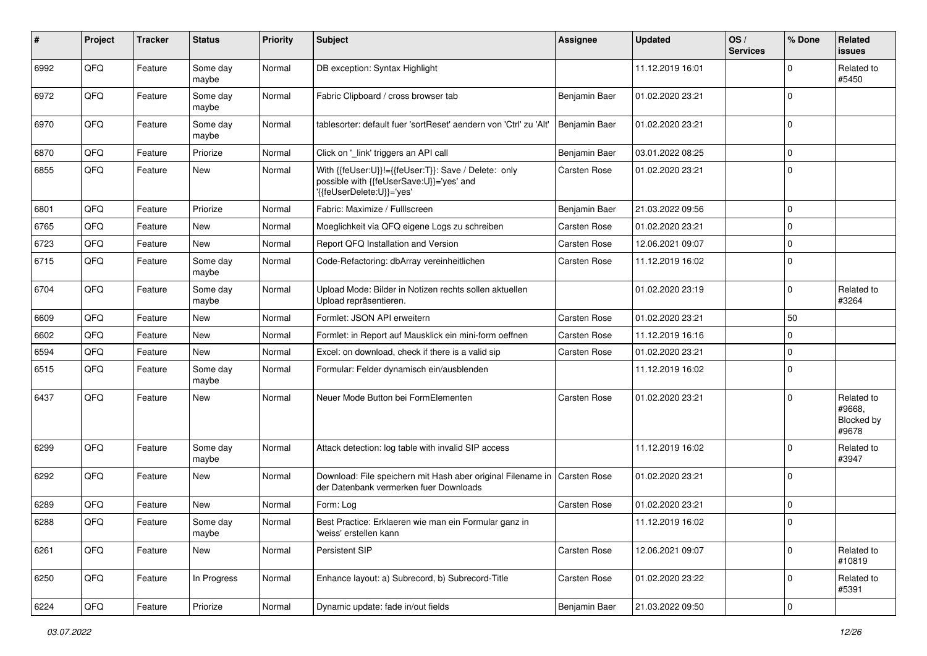| ∦    | Project | <b>Tracker</b> | <b>Status</b>     | Priority | <b>Subject</b>                                                                                                                | <b>Assignee</b> | <b>Updated</b>   | OS/<br><b>Services</b> | % Done              | <b>Related</b><br>issues                    |
|------|---------|----------------|-------------------|----------|-------------------------------------------------------------------------------------------------------------------------------|-----------------|------------------|------------------------|---------------------|---------------------------------------------|
| 6992 | QFQ     | Feature        | Some day<br>maybe | Normal   | DB exception: Syntax Highlight                                                                                                |                 | 11.12.2019 16:01 |                        | 0                   | Related to<br>#5450                         |
| 6972 | QFQ     | Feature        | Some day<br>maybe | Normal   | Fabric Clipboard / cross browser tab                                                                                          | Benjamin Baer   | 01.02.2020 23:21 |                        | $\Omega$            |                                             |
| 6970 | QFQ     | Feature        | Some day<br>maybe | Normal   | tablesorter: default fuer 'sortReset' aendern von 'Ctrl' zu 'Alt'                                                             | Benjamin Baer   | 01.02.2020 23:21 |                        | $\Omega$            |                                             |
| 6870 | QFQ     | Feature        | Priorize          | Normal   | Click on '_link' triggers an API call                                                                                         | Benjamin Baer   | 03.01.2022 08:25 |                        | 0                   |                                             |
| 6855 | QFQ     | Feature        | New               | Normal   | With {{feUser:U}}!={{feUser:T}}: Save / Delete: only<br>possible with {{feUserSave:U}}='yes' and<br>'{{feUserDelete:U}}='yes' | Carsten Rose    | 01.02.2020 23:21 |                        | $\Omega$            |                                             |
| 6801 | QFQ     | Feature        | Priorize          | Normal   | Fabric: Maximize / FullIscreen                                                                                                | Benjamin Baer   | 21.03.2022 09:56 |                        | 0                   |                                             |
| 6765 | QFQ     | Feature        | New               | Normal   | Moeglichkeit via QFQ eigene Logs zu schreiben                                                                                 | Carsten Rose    | 01.02.2020 23:21 |                        | $\Omega$            |                                             |
| 6723 | QFQ     | Feature        | New               | Normal   | Report QFQ Installation and Version                                                                                           | Carsten Rose    | 12.06.2021 09:07 |                        | $\mathbf 0$         |                                             |
| 6715 | QFQ     | Feature        | Some day<br>maybe | Normal   | Code-Refactoring: dbArray vereinheitlichen                                                                                    | Carsten Rose    | 11.12.2019 16:02 |                        | $\mathbf 0$         |                                             |
| 6704 | QFQ     | Feature        | Some day<br>maybe | Normal   | Upload Mode: Bilder in Notizen rechts sollen aktuellen<br>Upload repräsentieren.                                              |                 | 01.02.2020 23:19 |                        | $\mathbf 0$         | Related to<br>#3264                         |
| 6609 | QFQ     | Feature        | New               | Normal   | Formlet: JSON API erweitern                                                                                                   | Carsten Rose    | 01.02.2020 23:21 |                        | 50                  |                                             |
| 6602 | QFQ     | Feature        | New               | Normal   | Formlet: in Report auf Mausklick ein mini-form oeffnen                                                                        | Carsten Rose    | 11.12.2019 16:16 |                        | 0                   |                                             |
| 6594 | QFQ     | Feature        | New               | Normal   | Excel: on download, check if there is a valid sip                                                                             | Carsten Rose    | 01.02.2020 23:21 |                        | 0                   |                                             |
| 6515 | QFQ     | Feature        | Some day<br>maybe | Normal   | Formular: Felder dynamisch ein/ausblenden                                                                                     |                 | 11.12.2019 16:02 |                        | $\mathbf 0$         |                                             |
| 6437 | QFQ     | Feature        | New               | Normal   | Neuer Mode Button bei FormElementen                                                                                           | Carsten Rose    | 01.02.2020 23:21 |                        | $\mathbf 0$         | Related to<br>#9668.<br>Blocked by<br>#9678 |
| 6299 | QFQ     | Feature        | Some day<br>maybe | Normal   | Attack detection: log table with invalid SIP access                                                                           |                 | 11.12.2019 16:02 |                        | $\Omega$            | Related to<br>#3947                         |
| 6292 | QFQ     | Feature        | New               | Normal   | Download: File speichern mit Hash aber original Filename in<br>der Datenbank vermerken fuer Downloads                         | Carsten Rose    | 01.02.2020 23:21 |                        | $\mathbf 0$         |                                             |
| 6289 | QFQ     | Feature        | New               | Normal   | Form: Log                                                                                                                     | Carsten Rose    | 01.02.2020 23:21 |                        | $\mathbf 0$         |                                             |
| 6288 | QFQ     | Feature        | Some day<br>maybe | Normal   | Best Practice: Erklaeren wie man ein Formular ganz in<br>'weiss' erstellen kann                                               |                 | 11.12.2019 16:02 |                        | $\Omega$            |                                             |
| 6261 | QFQ     | Feature        | New               | Normal   | Persistent SIP                                                                                                                | Carsten Rose    | 12.06.2021 09:07 |                        | 0                   | Related to<br>#10819                        |
| 6250 | QFQ     | Feature        | In Progress       | Normal   | Enhance layout: a) Subrecord, b) Subrecord-Title                                                                              | Carsten Rose    | 01.02.2020 23:22 |                        | $\mathbf 0$         | Related to<br>#5391                         |
| 6224 | QFQ     | Feature        | Priorize          | Normal   | Dynamic update: fade in/out fields                                                                                            | Benjamin Baer   | 21.03.2022 09:50 |                        | $\mathsf{O}\xspace$ |                                             |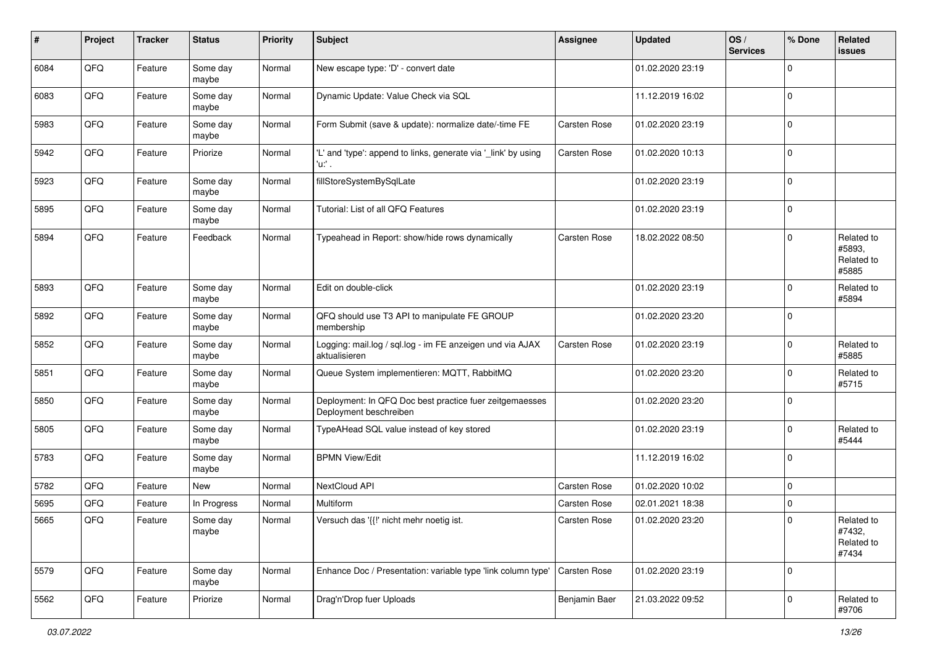| #    | Project | <b>Tracker</b> | <b>Status</b>     | <b>Priority</b> | Subject                                                                           | <b>Assignee</b> | <b>Updated</b>   | OS/<br><b>Services</b> | % Done              | Related<br>issues                           |
|------|---------|----------------|-------------------|-----------------|-----------------------------------------------------------------------------------|-----------------|------------------|------------------------|---------------------|---------------------------------------------|
| 6084 | QFQ     | Feature        | Some day<br>maybe | Normal          | New escape type: 'D' - convert date                                               |                 | 01.02.2020 23:19 |                        | $\mathbf 0$         |                                             |
| 6083 | QFQ     | Feature        | Some day<br>maybe | Normal          | Dynamic Update: Value Check via SQL                                               |                 | 11.12.2019 16:02 |                        | $\mathbf 0$         |                                             |
| 5983 | QFQ     | Feature        | Some day<br>maybe | Normal          | Form Submit (save & update): normalize date/-time FE                              | Carsten Rose    | 01.02.2020 23:19 |                        | $\mathbf 0$         |                                             |
| 5942 | QFQ     | Feature        | Priorize          | Normal          | 'L' and 'type': append to links, generate via '_link' by using<br>'u:' .          | Carsten Rose    | 01.02.2020 10:13 |                        | 0                   |                                             |
| 5923 | QFQ     | Feature        | Some day<br>maybe | Normal          | fillStoreSystemBySqlLate                                                          |                 | 01.02.2020 23:19 |                        | $\mathbf 0$         |                                             |
| 5895 | QFQ     | Feature        | Some day<br>maybe | Normal          | Tutorial: List of all QFQ Features                                                |                 | 01.02.2020 23:19 |                        | $\mathbf 0$         |                                             |
| 5894 | QFQ     | Feature        | Feedback          | Normal          | Typeahead in Report: show/hide rows dynamically                                   | Carsten Rose    | 18.02.2022 08:50 |                        | $\mathbf 0$         | Related to<br>#5893,<br>Related to<br>#5885 |
| 5893 | QFQ     | Feature        | Some day<br>maybe | Normal          | Edit on double-click                                                              |                 | 01.02.2020 23:19 |                        | $\mathbf 0$         | Related to<br>#5894                         |
| 5892 | QFQ     | Feature        | Some day<br>maybe | Normal          | QFQ should use T3 API to manipulate FE GROUP<br>membership                        |                 | 01.02.2020 23:20 |                        | $\mathbf 0$         |                                             |
| 5852 | QFQ     | Feature        | Some day<br>maybe | Normal          | Logging: mail.log / sql.log - im FE anzeigen und via AJAX<br>aktualisieren        | Carsten Rose    | 01.02.2020 23:19 |                        | $\mathbf 0$         | Related to<br>#5885                         |
| 5851 | QFQ     | Feature        | Some day<br>maybe | Normal          | Queue System implementieren: MQTT, RabbitMQ                                       |                 | 01.02.2020 23:20 |                        | $\mathbf 0$         | Related to<br>#5715                         |
| 5850 | QFQ     | Feature        | Some day<br>maybe | Normal          | Deployment: In QFQ Doc best practice fuer zeitgemaesses<br>Deployment beschreiben |                 | 01.02.2020 23:20 |                        | 0                   |                                             |
| 5805 | QFQ     | Feature        | Some day<br>maybe | Normal          | TypeAHead SQL value instead of key stored                                         |                 | 01.02.2020 23:19 |                        | $\mathbf 0$         | Related to<br>#5444                         |
| 5783 | QFQ     | Feature        | Some day<br>maybe | Normal          | <b>BPMN View/Edit</b>                                                             |                 | 11.12.2019 16:02 |                        | $\mathbf 0$         |                                             |
| 5782 | QFQ     | Feature        | New               | Normal          | NextCloud API                                                                     | Carsten Rose    | 01.02.2020 10:02 |                        | $\mathbf 0$         |                                             |
| 5695 | QFQ     | Feature        | In Progress       | Normal          | Multiform                                                                         | Carsten Rose    | 02.01.2021 18:38 |                        | $\mathbf 0$         |                                             |
| 5665 | QFQ     | Feature        | Some day<br>maybe | Normal          | Versuch das '{{!' nicht mehr noetig ist.                                          | Carsten Rose    | 01.02.2020 23:20 |                        | $\mathbf 0$         | Related to<br>#7432,<br>Related to<br>#7434 |
| 5579 | QFQ     | Feature        | Some day<br>maybe | Normal          | Enhance Doc / Presentation: variable type 'link column type'                      | Carsten Rose    | 01.02.2020 23:19 |                        | $\mathbf 0$         |                                             |
| 5562 | QFQ     | Feature        | Priorize          | Normal          | Drag'n'Drop fuer Uploads                                                          | Benjamin Baer   | 21.03.2022 09:52 |                        | $\mathsf{O}\xspace$ | Related to<br>#9706                         |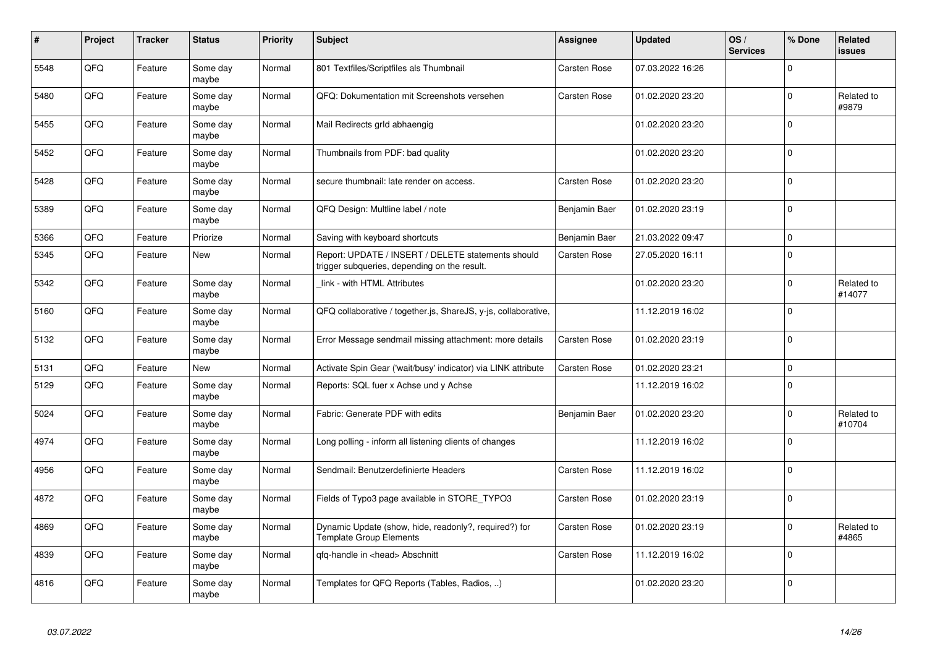| $\pmb{\#}$ | Project | <b>Tracker</b> | <b>Status</b>     | <b>Priority</b> | <b>Subject</b>                                                                                     | <b>Assignee</b>     | <b>Updated</b>   | OS/<br><b>Services</b> | % Done       | Related<br>issues    |
|------------|---------|----------------|-------------------|-----------------|----------------------------------------------------------------------------------------------------|---------------------|------------------|------------------------|--------------|----------------------|
| 5548       | QFQ     | Feature        | Some day<br>maybe | Normal          | 801 Textfiles/Scriptfiles als Thumbnail                                                            | Carsten Rose        | 07.03.2022 16:26 |                        | $\Omega$     |                      |
| 5480       | QFQ     | Feature        | Some day<br>maybe | Normal          | QFQ: Dokumentation mit Screenshots versehen                                                        | Carsten Rose        | 01.02.2020 23:20 |                        | $\mathbf 0$  | Related to<br>#9879  |
| 5455       | QFQ     | Feature        | Some day<br>maybe | Normal          | Mail Redirects grld abhaengig                                                                      |                     | 01.02.2020 23:20 |                        | $\mathbf 0$  |                      |
| 5452       | QFQ     | Feature        | Some day<br>maybe | Normal          | Thumbnails from PDF: bad quality                                                                   |                     | 01.02.2020 23:20 |                        | $\mathbf 0$  |                      |
| 5428       | QFQ     | Feature        | Some day<br>maybe | Normal          | secure thumbnail: late render on access.                                                           | Carsten Rose        | 01.02.2020 23:20 |                        | $\Omega$     |                      |
| 5389       | QFQ     | Feature        | Some day<br>maybe | Normal          | QFQ Design: Multline label / note                                                                  | Benjamin Baer       | 01.02.2020 23:19 |                        | $\mathbf 0$  |                      |
| 5366       | QFQ     | Feature        | Priorize          | Normal          | Saving with keyboard shortcuts                                                                     | Benjamin Baer       | 21.03.2022 09:47 |                        | $\mathbf{0}$ |                      |
| 5345       | QFQ     | Feature        | New               | Normal          | Report: UPDATE / INSERT / DELETE statements should<br>trigger subqueries, depending on the result. | Carsten Rose        | 27.05.2020 16:11 |                        | $\mathbf 0$  |                      |
| 5342       | QFQ     | Feature        | Some day<br>maybe | Normal          | link - with HTML Attributes                                                                        |                     | 01.02.2020 23:20 |                        | $\mathbf 0$  | Related to<br>#14077 |
| 5160       | QFQ     | Feature        | Some day<br>maybe | Normal          | QFQ collaborative / together.js, ShareJS, y-js, collaborative,                                     |                     | 11.12.2019 16:02 |                        | $\Omega$     |                      |
| 5132       | QFQ     | Feature        | Some day<br>maybe | Normal          | Error Message sendmail missing attachment: more details                                            | Carsten Rose        | 01.02.2020 23:19 |                        | $\mathbf 0$  |                      |
| 5131       | QFQ     | Feature        | New               | Normal          | Activate Spin Gear ('wait/busy' indicator) via LINK attribute                                      | Carsten Rose        | 01.02.2020 23:21 |                        | $\mathbf{0}$ |                      |
| 5129       | QFQ     | Feature        | Some day<br>maybe | Normal          | Reports: SQL fuer x Achse und y Achse                                                              |                     | 11.12.2019 16:02 |                        | $\mathbf 0$  |                      |
| 5024       | QFQ     | Feature        | Some day<br>maybe | Normal          | Fabric: Generate PDF with edits                                                                    | Benjamin Baer       | 01.02.2020 23:20 |                        | $\mathbf 0$  | Related to<br>#10704 |
| 4974       | QFQ     | Feature        | Some day<br>maybe | Normal          | Long polling - inform all listening clients of changes                                             |                     | 11.12.2019 16:02 |                        | $\mathbf 0$  |                      |
| 4956       | QFQ     | Feature        | Some day<br>maybe | Normal          | Sendmail: Benutzerdefinierte Headers                                                               | <b>Carsten Rose</b> | 11.12.2019 16:02 |                        | $\pmb{0}$    |                      |
| 4872       | QFQ     | Feature        | Some day<br>maybe | Normal          | Fields of Typo3 page available in STORE TYPO3                                                      | Carsten Rose        | 01.02.2020 23:19 |                        | $\mathbf 0$  |                      |
| 4869       | QFQ     | Feature        | Some day<br>maybe | Normal          | Dynamic Update (show, hide, readonly?, required?) for<br><b>Template Group Elements</b>            | Carsten Rose        | 01.02.2020 23:19 |                        | $\mathbf 0$  | Related to<br>#4865  |
| 4839       | QFQ     | Feature        | Some day<br>maybe | Normal          | qfq-handle in <head> Abschnitt</head>                                                              | Carsten Rose        | 11.12.2019 16:02 |                        | $\mathbf 0$  |                      |
| 4816       | QFQ     | Feature        | Some day<br>maybe | Normal          | Templates for QFQ Reports (Tables, Radios, )                                                       |                     | 01.02.2020 23:20 |                        | $\mathbf 0$  |                      |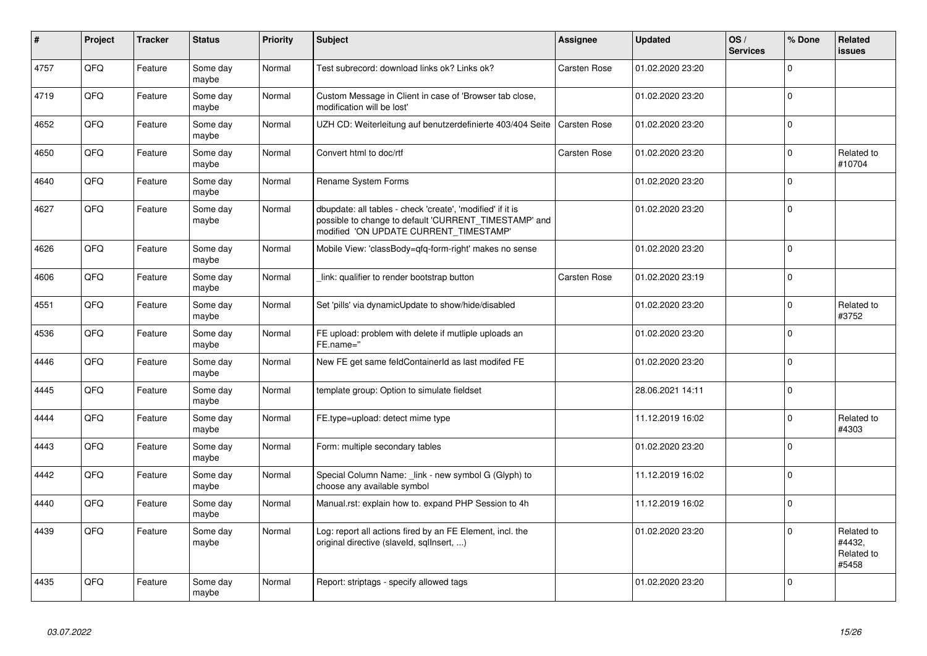| $\vert$ # | Project | <b>Tracker</b> | <b>Status</b>     | <b>Priority</b> | <b>Subject</b>                                                                                                                                                | Assignee            | <b>Updated</b>   | OS/<br><b>Services</b> | % Done      | <b>Related</b><br><b>issues</b>             |
|-----------|---------|----------------|-------------------|-----------------|---------------------------------------------------------------------------------------------------------------------------------------------------------------|---------------------|------------------|------------------------|-------------|---------------------------------------------|
| 4757      | QFQ     | Feature        | Some day<br>maybe | Normal          | Test subrecord: download links ok? Links ok?                                                                                                                  | <b>Carsten Rose</b> | 01.02.2020 23:20 |                        | $\mathbf 0$ |                                             |
| 4719      | QFQ     | Feature        | Some day<br>maybe | Normal          | Custom Message in Client in case of 'Browser tab close,<br>modification will be lost'                                                                         |                     | 01.02.2020 23:20 |                        | $\mathbf 0$ |                                             |
| 4652      | QFQ     | Feature        | Some day<br>maybe | Normal          | UZH CD: Weiterleitung auf benutzerdefinierte 403/404 Seite                                                                                                    | Carsten Rose        | 01.02.2020 23:20 |                        | $\mathbf 0$ |                                             |
| 4650      | QFQ     | Feature        | Some day<br>maybe | Normal          | Convert html to doc/rtf                                                                                                                                       | Carsten Rose        | 01.02.2020 23:20 |                        | $\mathbf 0$ | Related to<br>#10704                        |
| 4640      | QFQ     | Feature        | Some day<br>maybe | Normal          | Rename System Forms                                                                                                                                           |                     | 01.02.2020 23:20 |                        | $\mathbf 0$ |                                             |
| 4627      | QFQ     | Feature        | Some day<br>maybe | Normal          | dbupdate: all tables - check 'create', 'modified' if it is<br>possible to change to default 'CURRENT_TIMESTAMP' and<br>modified 'ON UPDATE CURRENT TIMESTAMP' |                     | 01.02.2020 23:20 |                        | 0           |                                             |
| 4626      | QFQ     | Feature        | Some day<br>maybe | Normal          | Mobile View: 'classBody=qfq-form-right' makes no sense                                                                                                        |                     | 01.02.2020 23:20 |                        | $\Omega$    |                                             |
| 4606      | QFQ     | Feature        | Some day<br>maybe | Normal          | link: qualifier to render bootstrap button                                                                                                                    | Carsten Rose        | 01.02.2020 23:19 |                        | $\mathbf 0$ |                                             |
| 4551      | QFQ     | Feature        | Some day<br>maybe | Normal          | Set 'pills' via dynamicUpdate to show/hide/disabled                                                                                                           |                     | 01.02.2020 23:20 |                        | $\Omega$    | Related to<br>#3752                         |
| 4536      | QFQ     | Feature        | Some day<br>maybe | Normal          | FE upload: problem with delete if mutliple uploads an<br>FE.name="                                                                                            |                     | 01.02.2020 23:20 |                        | $\mathbf 0$ |                                             |
| 4446      | QFQ     | Feature        | Some day<br>maybe | Normal          | New FE get same feldContainerId as last modifed FE                                                                                                            |                     | 01.02.2020 23:20 |                        | $\mathbf 0$ |                                             |
| 4445      | QFQ     | Feature        | Some day<br>maybe | Normal          | template group: Option to simulate fieldset                                                                                                                   |                     | 28.06.2021 14:11 |                        | $\Omega$    |                                             |
| 4444      | QFQ     | Feature        | Some day<br>maybe | Normal          | FE.type=upload: detect mime type                                                                                                                              |                     | 11.12.2019 16:02 |                        | $\Omega$    | Related to<br>#4303                         |
| 4443      | QFQ     | Feature        | Some day<br>maybe | Normal          | Form: multiple secondary tables                                                                                                                               |                     | 01.02.2020 23:20 |                        | $\Omega$    |                                             |
| 4442      | QFQ     | Feature        | Some day<br>maybe | Normal          | Special Column Name: _link - new symbol G (Glyph) to<br>choose any available symbol                                                                           |                     | 11.12.2019 16:02 |                        | $\Omega$    |                                             |
| 4440      | QFQ     | Feature        | Some day<br>maybe | Normal          | Manual.rst: explain how to. expand PHP Session to 4h                                                                                                          |                     | 11.12.2019 16:02 |                        | $\Omega$    |                                             |
| 4439      | QFQ     | Feature        | Some day<br>maybe | Normal          | Log: report all actions fired by an FE Element, incl. the<br>original directive (slaveld, sqllnsert, )                                                        |                     | 01.02.2020 23:20 |                        | $\Omega$    | Related to<br>#4432,<br>Related to<br>#5458 |
| 4435      | QFQ     | Feature        | Some day<br>maybe | Normal          | Report: striptags - specify allowed tags                                                                                                                      |                     | 01.02.2020 23:20 |                        | $\Omega$    |                                             |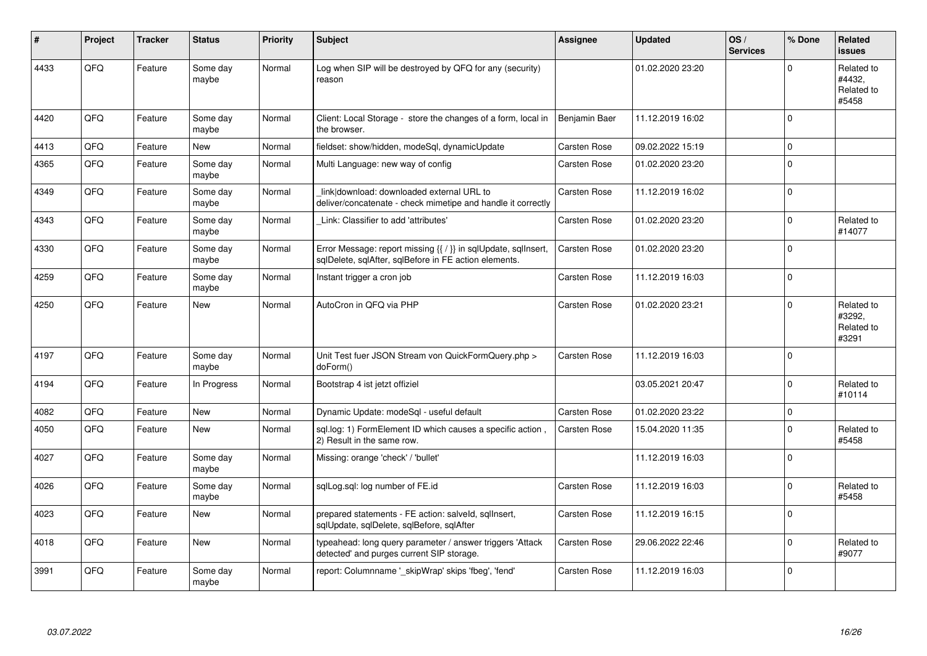| ∦    | Project | <b>Tracker</b> | <b>Status</b>     | Priority | <b>Subject</b>                                                                                                          | <b>Assignee</b>     | <b>Updated</b>   | OS/<br><b>Services</b> | % Done      | Related<br><b>issues</b>                    |
|------|---------|----------------|-------------------|----------|-------------------------------------------------------------------------------------------------------------------------|---------------------|------------------|------------------------|-------------|---------------------------------------------|
| 4433 | QFQ     | Feature        | Some day<br>maybe | Normal   | Log when SIP will be destroyed by QFQ for any (security)<br>reason                                                      |                     | 01.02.2020 23:20 |                        | $\Omega$    | Related to<br>#4432,<br>Related to<br>#5458 |
| 4420 | QFQ     | Feature        | Some dav<br>maybe | Normal   | Client: Local Storage - store the changes of a form, local in<br>the browser.                                           | Benjamin Baer       | 11.12.2019 16:02 |                        | $\Omega$    |                                             |
| 4413 | QFQ     | Feature        | <b>New</b>        | Normal   | fieldset: show/hidden, modeSql, dynamicUpdate                                                                           | <b>Carsten Rose</b> | 09.02.2022 15:19 |                        | 0           |                                             |
| 4365 | QFQ     | Feature        | Some day<br>maybe | Normal   | Multi Language: new way of config                                                                                       | Carsten Rose        | 01.02.2020 23:20 |                        | $\mathbf 0$ |                                             |
| 4349 | QFQ     | Feature        | Some day<br>maybe | Normal   | link download: downloaded external URL to<br>deliver/concatenate - check mimetipe and handle it correctly               | Carsten Rose        | 11.12.2019 16:02 |                        | 0           |                                             |
| 4343 | QFQ     | Feature        | Some day<br>maybe | Normal   | Link: Classifier to add 'attributes'                                                                                    | Carsten Rose        | 01.02.2020 23:20 |                        | $\mathbf 0$ | Related to<br>#14077                        |
| 4330 | QFQ     | Feature        | Some day<br>maybe | Normal   | Error Message: report missing {{ / }} in sqlUpdate, sqlInsert,<br>sglDelete, sglAfter, sglBefore in FE action elements. | Carsten Rose        | 01.02.2020 23:20 |                        | 0           |                                             |
| 4259 | QFQ     | Feature        | Some day<br>maybe | Normal   | Instant trigger a cron job                                                                                              | Carsten Rose        | 11.12.2019 16:03 |                        | $\mathbf 0$ |                                             |
| 4250 | QFQ     | Feature        | <b>New</b>        | Normal   | AutoCron in QFQ via PHP                                                                                                 | Carsten Rose        | 01.02.2020 23:21 |                        | $\Omega$    | Related to<br>#3292,<br>Related to<br>#3291 |
| 4197 | QFQ     | Feature        | Some day<br>maybe | Normal   | Unit Test fuer JSON Stream von QuickFormQuery.php ><br>doForm()                                                         | Carsten Rose        | 11.12.2019 16:03 |                        | $\mathbf 0$ |                                             |
| 4194 | QFQ     | Feature        | In Progress       | Normal   | Bootstrap 4 ist jetzt offiziel                                                                                          |                     | 03.05.2021 20:47 |                        | 0           | Related to<br>#10114                        |
| 4082 | QFQ     | Feature        | <b>New</b>        | Normal   | Dynamic Update: modeSql - useful default                                                                                | Carsten Rose        | 01.02.2020 23:22 |                        | $\mathbf 0$ |                                             |
| 4050 | QFQ     | Feature        | <b>New</b>        | Normal   | sql.log: 1) FormElement ID which causes a specific action,<br>2) Result in the same row.                                | Carsten Rose        | 15.04.2020 11:35 |                        | $\Omega$    | Related to<br>#5458                         |
| 4027 | QFQ     | Feature        | Some day<br>maybe | Normal   | Missing: orange 'check' / 'bullet'                                                                                      |                     | 11.12.2019 16:03 |                        | $\Omega$    |                                             |
| 4026 | QFQ     | Feature        | Some day<br>maybe | Normal   | sqlLog.sql: log number of FE.id                                                                                         | Carsten Rose        | 11.12.2019 16:03 |                        | $\Omega$    | Related to<br>#5458                         |
| 4023 | QFQ     | Feature        | New               | Normal   | prepared statements - FE action: salveld, sqllnsert,<br>sqlUpdate, sqlDelete, sqlBefore, sqlAfter                       | Carsten Rose        | 11.12.2019 16:15 |                        | 0           |                                             |
| 4018 | QFQ     | Feature        | New               | Normal   | typeahead: long query parameter / answer triggers 'Attack<br>detected' and purges current SIP storage.                  | Carsten Rose        | 29.06.2022 22:46 |                        | 0           | Related to<br>#9077                         |
| 3991 | QFQ     | Feature        | Some day<br>maybe | Normal   | report: Columnname ' skipWrap' skips 'fbeg', 'fend'                                                                     | Carsten Rose        | 11.12.2019 16:03 |                        | 0           |                                             |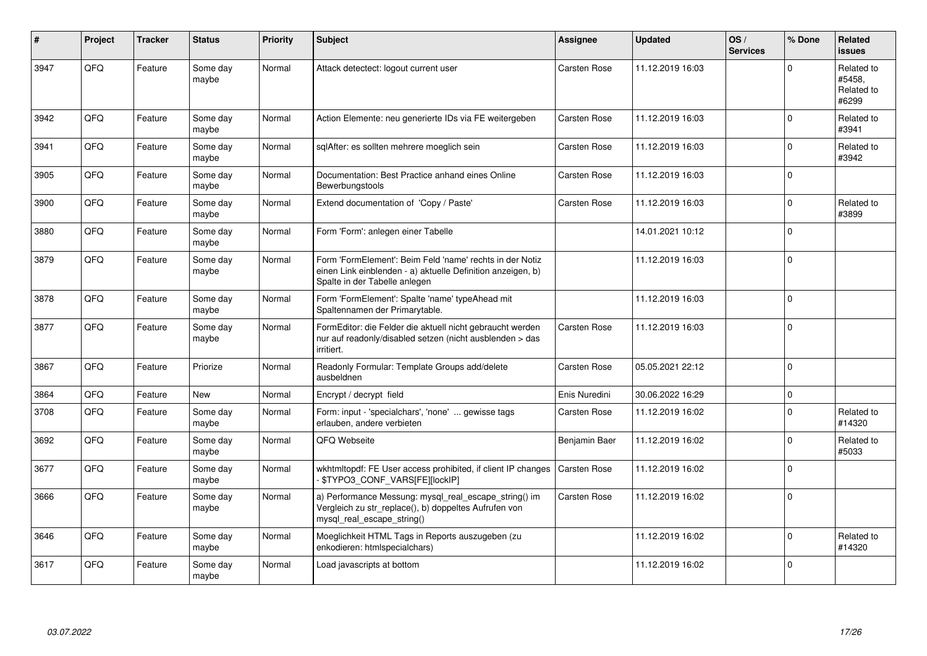| #    | Project | <b>Tracker</b> | <b>Status</b>     | <b>Priority</b> | Subject                                                                                                                                                  | <b>Assignee</b> | <b>Updated</b>   | OS/<br><b>Services</b> | % Done      | Related<br><b>issues</b>                    |
|------|---------|----------------|-------------------|-----------------|----------------------------------------------------------------------------------------------------------------------------------------------------------|-----------------|------------------|------------------------|-------------|---------------------------------------------|
| 3947 | QFQ     | Feature        | Some day<br>maybe | Normal          | Attack detectect: logout current user                                                                                                                    | Carsten Rose    | 11.12.2019 16:03 |                        | $\Omega$    | Related to<br>#5458,<br>Related to<br>#6299 |
| 3942 | QFQ     | Feature        | Some day<br>maybe | Normal          | Action Elemente: neu generierte IDs via FE weitergeben                                                                                                   | Carsten Rose    | 11.12.2019 16:03 |                        | $\mathbf 0$ | Related to<br>#3941                         |
| 3941 | QFQ     | Feature        | Some day<br>maybe | Normal          | sqlAfter: es sollten mehrere moeglich sein                                                                                                               | Carsten Rose    | 11.12.2019 16:03 |                        | $\Omega$    | Related to<br>#3942                         |
| 3905 | QFQ     | Feature        | Some day<br>maybe | Normal          | Documentation: Best Practice anhand eines Online<br>Bewerbungstools                                                                                      | Carsten Rose    | 11.12.2019 16:03 |                        | $\mathbf 0$ |                                             |
| 3900 | QFQ     | Feature        | Some day<br>maybe | Normal          | Extend documentation of 'Copy / Paste'                                                                                                                   | Carsten Rose    | 11.12.2019 16:03 |                        | $\mathbf 0$ | Related to<br>#3899                         |
| 3880 | QFQ     | Feature        | Some day<br>maybe | Normal          | Form 'Form': anlegen einer Tabelle                                                                                                                       |                 | 14.01.2021 10:12 |                        | $\Omega$    |                                             |
| 3879 | QFQ     | Feature        | Some day<br>maybe | Normal          | Form 'FormElement': Beim Feld 'name' rechts in der Notiz<br>einen Link einblenden - a) aktuelle Definition anzeigen, b)<br>Spalte in der Tabelle anlegen |                 | 11.12.2019 16:03 |                        | $\Omega$    |                                             |
| 3878 | QFQ     | Feature        | Some day<br>maybe | Normal          | Form 'FormElement': Spalte 'name' typeAhead mit<br>Spaltennamen der Primarytable.                                                                        |                 | 11.12.2019 16:03 |                        | $\Omega$    |                                             |
| 3877 | QFQ     | Feature        | Some day<br>maybe | Normal          | FormEditor: die Felder die aktuell nicht gebraucht werden<br>nur auf readonly/disabled setzen (nicht ausblenden > das<br>irritiert.                      | Carsten Rose    | 11.12.2019 16:03 |                        | $\Omega$    |                                             |
| 3867 | QFQ     | Feature        | Priorize          | Normal          | Readonly Formular: Template Groups add/delete<br>ausbeldnen                                                                                              | Carsten Rose    | 05.05.2021 22:12 |                        | $\Omega$    |                                             |
| 3864 | QFQ     | Feature        | New               | Normal          | Encrypt / decrypt field                                                                                                                                  | Enis Nuredini   | 30.06.2022 16:29 |                        | $\mathbf 0$ |                                             |
| 3708 | QFQ     | Feature        | Some day<br>maybe | Normal          | Form: input - 'specialchars', 'none'  gewisse tags<br>erlauben, andere verbieten                                                                         | Carsten Rose    | 11.12.2019 16:02 |                        | $\mathbf 0$ | Related to<br>#14320                        |
| 3692 | QFQ     | Feature        | Some day<br>maybe | Normal          | QFQ Webseite                                                                                                                                             | Benjamin Baer   | 11.12.2019 16:02 |                        | $\Omega$    | Related to<br>#5033                         |
| 3677 | QFQ     | Feature        | Some day<br>maybe | Normal          | wkhtmltopdf: FE User access prohibited, if client IP changes<br>\$TYPO3_CONF_VARS[FE][lockIP]                                                            | Carsten Rose    | 11.12.2019 16:02 |                        | $\mathbf 0$ |                                             |
| 3666 | QFQ     | Feature        | Some day<br>maybe | Normal          | a) Performance Messung: mysql_real_escape_string() im<br>Vergleich zu str_replace(), b) doppeltes Aufrufen von<br>mysql_real_escape_string()             | Carsten Rose    | 11.12.2019 16:02 |                        | $\mathbf 0$ |                                             |
| 3646 | QFQ     | Feature        | Some day<br>maybe | Normal          | Moeglichkeit HTML Tags in Reports auszugeben (zu<br>enkodieren: htmlspecialchars)                                                                        |                 | 11.12.2019 16:02 |                        | $\mathbf 0$ | Related to<br>#14320                        |
| 3617 | QFQ     | Feature        | Some day<br>maybe | Normal          | Load javascripts at bottom                                                                                                                               |                 | 11.12.2019 16:02 |                        | $\Omega$    |                                             |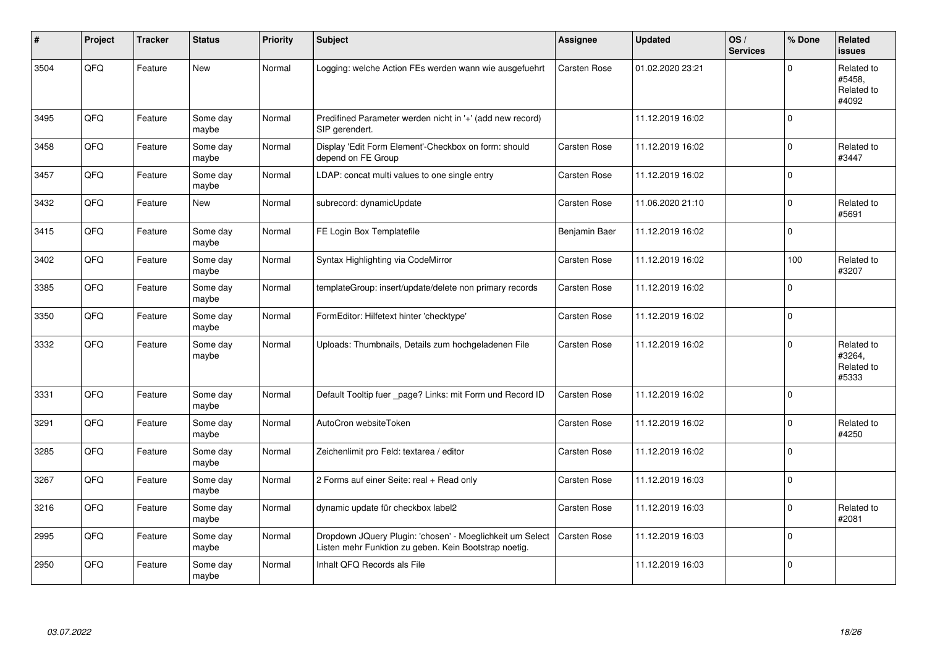| #    | <b>Project</b> | <b>Tracker</b> | <b>Status</b>     | <b>Priority</b> | Subject                                                                                                            | <b>Assignee</b>     | <b>Updated</b>   | OS/<br><b>Services</b> | % Done      | Related<br>issues                           |
|------|----------------|----------------|-------------------|-----------------|--------------------------------------------------------------------------------------------------------------------|---------------------|------------------|------------------------|-------------|---------------------------------------------|
| 3504 | QFQ            | Feature        | New               | Normal          | Logging: welche Action FEs werden wann wie ausgefuehrt                                                             | <b>Carsten Rose</b> | 01.02.2020 23:21 |                        | $\Omega$    | Related to<br>#5458,<br>Related to<br>#4092 |
| 3495 | QFQ            | Feature        | Some day<br>maybe | Normal          | Predifined Parameter werden nicht in '+' (add new record)<br>SIP gerendert.                                        |                     | 11.12.2019 16:02 |                        | $\Omega$    |                                             |
| 3458 | QFQ            | Feature        | Some day<br>maybe | Normal          | Display 'Edit Form Element'-Checkbox on form: should<br>depend on FE Group                                         | Carsten Rose        | 11.12.2019 16:02 |                        | $\mathbf 0$ | Related to<br>#3447                         |
| 3457 | QFQ            | Feature        | Some day<br>maybe | Normal          | LDAP: concat multi values to one single entry                                                                      | Carsten Rose        | 11.12.2019 16:02 |                        | $\Omega$    |                                             |
| 3432 | QFQ            | Feature        | <b>New</b>        | Normal          | subrecord: dynamicUpdate                                                                                           | Carsten Rose        | 11.06.2020 21:10 |                        | $\mathbf 0$ | Related to<br>#5691                         |
| 3415 | QFQ            | Feature        | Some day<br>maybe | Normal          | FE Login Box Templatefile                                                                                          | Benjamin Baer       | 11.12.2019 16:02 |                        | $\Omega$    |                                             |
| 3402 | QFQ            | Feature        | Some day<br>maybe | Normal          | Syntax Highlighting via CodeMirror                                                                                 | Carsten Rose        | 11.12.2019 16:02 |                        | 100         | Related to<br>#3207                         |
| 3385 | QFQ            | Feature        | Some day<br>maybe | Normal          | templateGroup: insert/update/delete non primary records                                                            | Carsten Rose        | 11.12.2019 16:02 |                        | $\Omega$    |                                             |
| 3350 | QFQ            | Feature        | Some day<br>maybe | Normal          | FormEditor: Hilfetext hinter 'checktype'                                                                           | Carsten Rose        | 11.12.2019 16:02 |                        | $\mathbf 0$ |                                             |
| 3332 | QFQ            | Feature        | Some day<br>maybe | Normal          | Uploads: Thumbnails, Details zum hochgeladenen File                                                                | Carsten Rose        | 11.12.2019 16:02 |                        | $\Omega$    | Related to<br>#3264,<br>Related to<br>#5333 |
| 3331 | QFQ            | Feature        | Some day<br>maybe | Normal          | Default Tooltip fuer _page? Links: mit Form und Record ID                                                          | Carsten Rose        | 11.12.2019 16:02 |                        | $\Omega$    |                                             |
| 3291 | QFQ            | Feature        | Some day<br>maybe | Normal          | AutoCron websiteToken                                                                                              | Carsten Rose        | 11.12.2019 16:02 |                        | $\Omega$    | Related to<br>#4250                         |
| 3285 | QFQ            | Feature        | Some day<br>maybe | Normal          | Zeichenlimit pro Feld: textarea / editor                                                                           | Carsten Rose        | 11.12.2019 16:02 |                        | $\mathbf 0$ |                                             |
| 3267 | QFQ            | Feature        | Some day<br>maybe | Normal          | 2 Forms auf einer Seite: real + Read only                                                                          | Carsten Rose        | 11.12.2019 16:03 |                        | $\mathbf 0$ |                                             |
| 3216 | QFQ            | Feature        | Some day<br>maybe | Normal          | dynamic update für checkbox label2                                                                                 | Carsten Rose        | 11.12.2019 16:03 |                        | $\Omega$    | Related to<br>#2081                         |
| 2995 | QFQ            | Feature        | Some day<br>maybe | Normal          | Dropdown JQuery Plugin: 'chosen' - Moeglichkeit um Select<br>Listen mehr Funktion zu geben. Kein Bootstrap noetig. | Carsten Rose        | 11.12.2019 16:03 |                        | $\mathbf 0$ |                                             |
| 2950 | QFQ            | Feature        | Some day<br>maybe | Normal          | Inhalt QFQ Records als File                                                                                        |                     | 11.12.2019 16:03 |                        | $\Omega$    |                                             |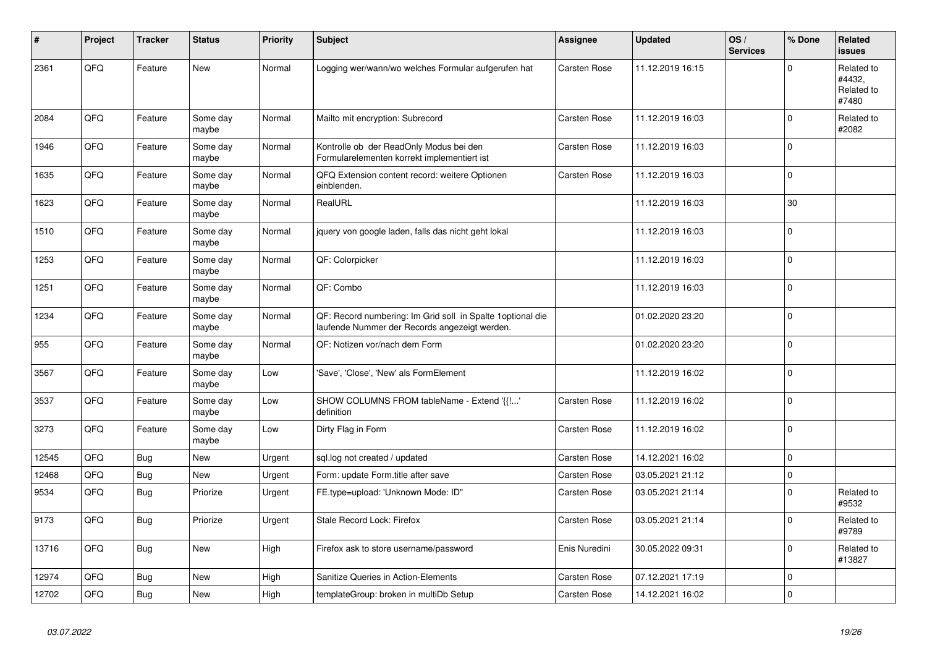| $\sharp$ | Project | <b>Tracker</b> | <b>Status</b>     | <b>Priority</b> | Subject                                                                                                      | <b>Assignee</b>     | <b>Updated</b>   | OS/<br><b>Services</b> | % Done         | <b>Related</b><br><b>issues</b>             |
|----------|---------|----------------|-------------------|-----------------|--------------------------------------------------------------------------------------------------------------|---------------------|------------------|------------------------|----------------|---------------------------------------------|
| 2361     | QFQ     | Feature        | <b>New</b>        | Normal          | Logging wer/wann/wo welches Formular aufgerufen hat                                                          | Carsten Rose        | 11.12.2019 16:15 |                        | $\mathbf 0$    | Related to<br>#4432,<br>Related to<br>#7480 |
| 2084     | QFQ     | Feature        | Some day<br>maybe | Normal          | Mailto mit encryption: Subrecord                                                                             | <b>Carsten Rose</b> | 11.12.2019 16:03 |                        | $\mathbf 0$    | Related to<br>#2082                         |
| 1946     | QFQ     | Feature        | Some day<br>maybe | Normal          | Kontrolle ob der ReadOnly Modus bei den<br>Formularelementen korrekt implementiert ist                       | Carsten Rose        | 11.12.2019 16:03 |                        | $\Omega$       |                                             |
| 1635     | QFQ     | Feature        | Some day<br>maybe | Normal          | QFQ Extension content record: weitere Optionen<br>einblenden.                                                | Carsten Rose        | 11.12.2019 16:03 |                        | $\mathbf 0$    |                                             |
| 1623     | QFQ     | Feature        | Some day<br>maybe | Normal          | RealURL                                                                                                      |                     | 11.12.2019 16:03 |                        | 30             |                                             |
| 1510     | QFQ     | Feature        | Some day<br>maybe | Normal          | jquery von google laden, falls das nicht geht lokal                                                          |                     | 11.12.2019 16:03 |                        | $\Omega$       |                                             |
| 1253     | QFQ     | Feature        | Some day<br>maybe | Normal          | QF: Colorpicker                                                                                              |                     | 11.12.2019 16:03 |                        | $\Omega$       |                                             |
| 1251     | QFQ     | Feature        | Some day<br>maybe | Normal          | QF: Combo                                                                                                    |                     | 11.12.2019 16:03 |                        | $\mathbf 0$    |                                             |
| 1234     | QFQ     | Feature        | Some day<br>maybe | Normal          | QF: Record numbering: Im Grid soll in Spalte 1 optional die<br>laufende Nummer der Records angezeigt werden. |                     | 01.02.2020 23:20 |                        | $\mathbf 0$    |                                             |
| 955      | QFQ     | Feature        | Some day<br>maybe | Normal          | QF: Notizen vor/nach dem Form                                                                                |                     | 01.02.2020 23:20 |                        | $\overline{0}$ |                                             |
| 3567     | QFQ     | Feature        | Some day<br>maybe | Low             | 'Save', 'Close', 'New' als FormElement                                                                       |                     | 11.12.2019 16:02 |                        | $\Omega$       |                                             |
| 3537     | QFQ     | Feature        | Some day<br>maybe | Low             | SHOW COLUMNS FROM tableName - Extend '{{!'<br>definition                                                     | Carsten Rose        | 11.12.2019 16:02 |                        | $\mathbf 0$    |                                             |
| 3273     | QFQ     | Feature        | Some day<br>maybe | Low             | Dirty Flag in Form                                                                                           | Carsten Rose        | 11.12.2019 16:02 |                        | $\mathbf 0$    |                                             |
| 12545    | QFQ     | Bug            | <b>New</b>        | Urgent          | sql.log not created / updated                                                                                | Carsten Rose        | 14.12.2021 16:02 |                        | $\mathbf 0$    |                                             |
| 12468    | QFQ     | Bug            | <b>New</b>        | Urgent          | Form: update Form.title after save                                                                           | Carsten Rose        | 03.05.2021 21:12 |                        | $\mathbf 0$    |                                             |
| 9534     | QFQ     | <b>Bug</b>     | Priorize          | Urgent          | FE.type=upload: 'Unknown Mode: ID"                                                                           | Carsten Rose        | 03.05.2021 21:14 |                        | $\mathbf 0$    | Related to<br>#9532                         |
| 9173     | QFQ     | <b>Bug</b>     | Priorize          | Urgent          | Stale Record Lock: Firefox                                                                                   | Carsten Rose        | 03.05.2021 21:14 |                        | $\Omega$       | Related to<br>#9789                         |
| 13716    | QFQ     | <b>Bug</b>     | <b>New</b>        | High            | Firefox ask to store username/password                                                                       | Enis Nuredini       | 30.05.2022 09:31 |                        | $\mathbf 0$    | Related to<br>#13827                        |
| 12974    | QFQ     | Bug            | New               | High            | Sanitize Queries in Action-Elements                                                                          | Carsten Rose        | 07.12.2021 17:19 |                        | $\Omega$       |                                             |
| 12702    | QFQ     | Bug            | New               | High            | templateGroup: broken in multiDb Setup                                                                       | Carsten Rose        | 14.12.2021 16:02 |                        | $\mathbf 0$    |                                             |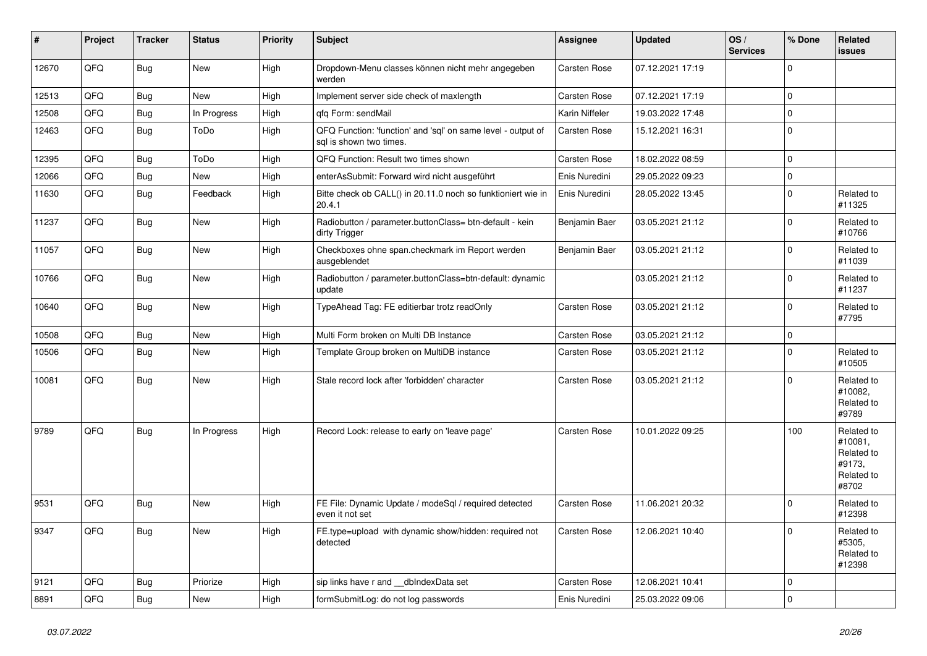| $\vert$ # | Project | <b>Tracker</b> | <b>Status</b> | <b>Priority</b> | <b>Subject</b>                                                                          | <b>Assignee</b>     | <b>Updated</b>   | OS/<br><b>Services</b> | % Done         | Related<br><b>issues</b>                                             |
|-----------|---------|----------------|---------------|-----------------|-----------------------------------------------------------------------------------------|---------------------|------------------|------------------------|----------------|----------------------------------------------------------------------|
| 12670     | QFQ     | Bug            | <b>New</b>    | High            | Dropdown-Menu classes können nicht mehr angegeben<br>werden                             | Carsten Rose        | 07.12.2021 17:19 |                        | $\Omega$       |                                                                      |
| 12513     | QFQ     | <b>Bug</b>     | <b>New</b>    | High            | Implement server side check of maxlength                                                | Carsten Rose        | 07.12.2021 17:19 |                        | 0              |                                                                      |
| 12508     | QFQ     | Bug            | In Progress   | High            | gfg Form: sendMail                                                                      | Karin Niffeler      | 19.03.2022 17:48 |                        | 0              |                                                                      |
| 12463     | QFQ     | Bug            | ToDo          | High            | QFQ Function: 'function' and 'sql' on same level - output of<br>sal is shown two times. | Carsten Rose        | 15.12.2021 16:31 |                        | $\Omega$       |                                                                      |
| 12395     | QFQ     | <b>Bug</b>     | ToDo          | High            | QFQ Function: Result two times shown                                                    | Carsten Rose        | 18.02.2022 08:59 |                        | 0              |                                                                      |
| 12066     | QFQ     | Bug            | New           | High            | enterAsSubmit: Forward wird nicht ausgeführt                                            | Enis Nuredini       | 29.05.2022 09:23 |                        | 0              |                                                                      |
| 11630     | QFQ     | Bug            | Feedback      | High            | Bitte check ob CALL() in 20.11.0 noch so funktioniert wie in<br>20.4.1                  | Enis Nuredini       | 28.05.2022 13:45 |                        | 0              | Related to<br>#11325                                                 |
| 11237     | QFQ     | <b>Bug</b>     | <b>New</b>    | High            | Radiobutton / parameter.buttonClass= btn-default - kein<br>dirty Trigger                | Benjamin Baer       | 03.05.2021 21:12 |                        | 0              | Related to<br>#10766                                                 |
| 11057     | QFQ     | Bug            | New           | High            | Checkboxes ohne span.checkmark im Report werden<br>ausgeblendet                         | Benjamin Baer       | 03.05.2021 21:12 |                        | $\Omega$       | Related to<br>#11039                                                 |
| 10766     | QFQ     | Bug            | New           | High            | Radiobutton / parameter.buttonClass=btn-default: dynamic<br>update                      |                     | 03.05.2021 21:12 |                        | $\mathbf 0$    | Related to<br>#11237                                                 |
| 10640     | QFQ     | Bug            | New           | High            | TypeAhead Tag: FE editierbar trotz readOnly                                             | Carsten Rose        | 03.05.2021 21:12 |                        | $\overline{0}$ | Related to<br>#7795                                                  |
| 10508     | OFO.    | Bug            | <b>New</b>    | High            | Multi Form broken on Multi DB Instance                                                  | Carsten Rose        | 03.05.2021 21:12 |                        | 0              |                                                                      |
| 10506     | QFQ     | Bug            | New           | High            | Template Group broken on MultiDB instance                                               | Carsten Rose        | 03.05.2021 21:12 |                        | $\Omega$       | Related to<br>#10505                                                 |
| 10081     | QFQ     | <b>Bug</b>     | New           | High            | Stale record lock after 'forbidden' character                                           | Carsten Rose        | 03.05.2021 21:12 |                        | 0              | Related to<br>#10082,<br>Related to<br>#9789                         |
| 9789      | QFQ     | Bug            | In Progress   | High            | Record Lock: release to early on 'leave page'                                           | Carsten Rose        | 10.01.2022 09:25 |                        | 100            | Related to<br>#10081.<br>Related to<br>#9173.<br>Related to<br>#8702 |
| 9531      | QFQ     | <b>Bug</b>     | New           | High            | FE File: Dynamic Update / modeSql / required detected<br>even it not set                | <b>Carsten Rose</b> | 11.06.2021 20:32 |                        | 0              | Related to<br>#12398                                                 |
| 9347      | QFQ     | Bug            | <b>New</b>    | High            | FE.type=upload with dynamic show/hidden: required not<br>detected                       | Carsten Rose        | 12.06.2021 10:40 |                        | $\Omega$       | Related to<br>#5305.<br>Related to<br>#12398                         |
| 9121      | QFQ     | Bug            | Priorize      | High            | sip links have r and __dbIndexData set                                                  | Carsten Rose        | 12.06.2021 10:41 |                        | 0              |                                                                      |
| 8891      | QFQ     | Bug            | <b>New</b>    | High            | formSubmitLog: do not log passwords                                                     | Enis Nuredini       | 25.03.2022 09:06 |                        | $\Omega$       |                                                                      |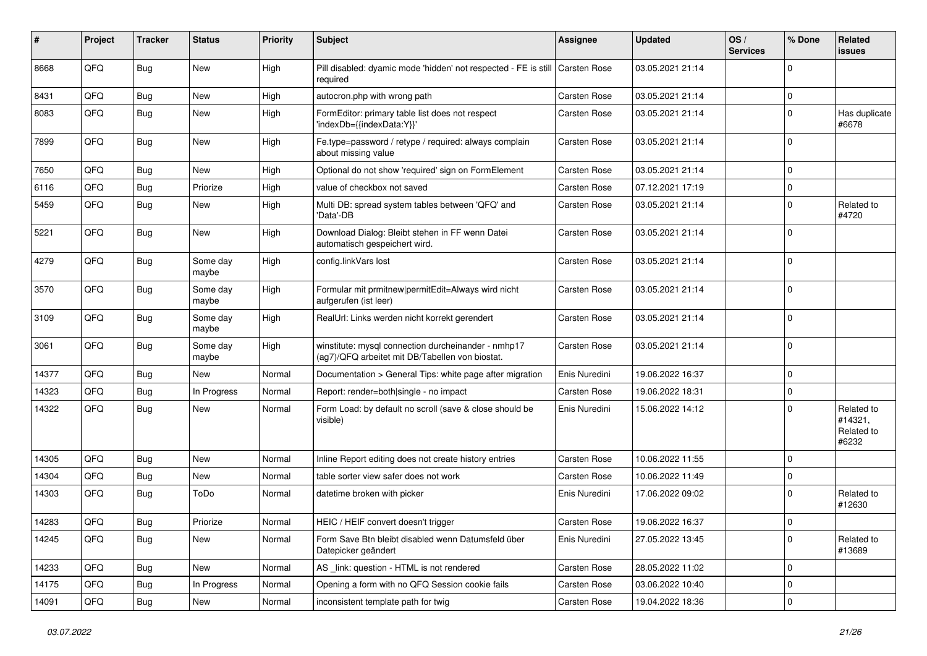| #     | Project | <b>Tracker</b> | <b>Status</b>     | <b>Priority</b> | <b>Subject</b>                                                                                         | Assignee      | <b>Updated</b>   | OS/<br><b>Services</b> | % Done      | Related<br><b>issues</b>                     |
|-------|---------|----------------|-------------------|-----------------|--------------------------------------------------------------------------------------------------------|---------------|------------------|------------------------|-------------|----------------------------------------------|
| 8668  | QFQ     | Bug            | <b>New</b>        | High            | Pill disabled: dyamic mode 'hidden' not respected - FE is still<br>required                            | Carsten Rose  | 03.05.2021 21:14 |                        | $\Omega$    |                                              |
| 8431  | QFQ     | <b>Bug</b>     | New               | High            | autocron.php with wrong path                                                                           | Carsten Rose  | 03.05.2021 21:14 |                        | $\mathbf 0$ |                                              |
| 8083  | QFQ     | <b>Bug</b>     | New               | High            | FormEditor: primary table list does not respect<br>'indexDb={{indexData:Y}}'                           | Carsten Rose  | 03.05.2021 21:14 |                        | $\Omega$    | Has duplicate<br>#6678                       |
| 7899  | QFQ     | <b>Bug</b>     | New               | High            | Fe.type=password / retype / required: always complain<br>about missing value                           | Carsten Rose  | 03.05.2021 21:14 |                        | $\Omega$    |                                              |
| 7650  | QFQ     | <b>Bug</b>     | New               | High            | Optional do not show 'required' sign on FormElement                                                    | Carsten Rose  | 03.05.2021 21:14 |                        | $\Omega$    |                                              |
| 6116  | QFQ     | <b>Bug</b>     | Priorize          | High            | value of checkbox not saved                                                                            | Carsten Rose  | 07.12.2021 17:19 |                        | $\mathbf 0$ |                                              |
| 5459  | QFQ     | <b>Bug</b>     | New               | High            | Multi DB: spread system tables between 'QFQ' and<br>'Data'-DB                                          | Carsten Rose  | 03.05.2021 21:14 |                        | $\mathbf 0$ | Related to<br>#4720                          |
| 5221  | QFQ     | <b>Bug</b>     | New               | High            | Download Dialog: Bleibt stehen in FF wenn Datei<br>automatisch gespeichert wird.                       | Carsten Rose  | 03.05.2021 21:14 |                        | $\mathbf 0$ |                                              |
| 4279  | QFQ     | <b>Bug</b>     | Some day<br>maybe | High            | config.linkVars lost                                                                                   | Carsten Rose  | 03.05.2021 21:14 |                        | $\Omega$    |                                              |
| 3570  | QFQ     | <b>Bug</b>     | Some day<br>maybe | High            | Formular mit prmitnew permitEdit=Always wird nicht<br>aufgerufen (ist leer)                            | Carsten Rose  | 03.05.2021 21:14 |                        | $\mathbf 0$ |                                              |
| 3109  | QFQ     | <b>Bug</b>     | Some day<br>maybe | High            | RealUrl: Links werden nicht korrekt gerendert                                                          | Carsten Rose  | 03.05.2021 21:14 |                        | $\mathbf 0$ |                                              |
| 3061  | QFQ     | <b>Bug</b>     | Some dav<br>maybe | High            | winstitute: mysql connection durcheinander - nmhp17<br>(ag7)/QFQ arbeitet mit DB/Tabellen von biostat. | Carsten Rose  | 03.05.2021 21:14 |                        | $\mathbf 0$ |                                              |
| 14377 | QFQ     | <b>Bug</b>     | New               | Normal          | Documentation > General Tips: white page after migration                                               | Enis Nuredini | 19.06.2022 16:37 |                        | $\Omega$    |                                              |
| 14323 | QFQ     | <b>Bug</b>     | In Progress       | Normal          | Report: render=both single - no impact                                                                 | Carsten Rose  | 19.06.2022 18:31 |                        | $\mathbf 0$ |                                              |
| 14322 | QFQ.    | <b>Bug</b>     | New               | Normal          | Form Load: by default no scroll (save & close should be<br>visible)                                    | Enis Nuredini | 15.06.2022 14:12 |                        | $\mathbf 0$ | Related to<br>#14321,<br>Related to<br>#6232 |
| 14305 | QFQ     | Bug            | <b>New</b>        | Normal          | Inline Report editing does not create history entries                                                  | Carsten Rose  | 10.06.2022 11:55 |                        | $\mathbf 0$ |                                              |
| 14304 | QFQ     | <b>Bug</b>     | New               | Normal          | table sorter view safer does not work                                                                  | Carsten Rose  | 10.06.2022 11:49 |                        | $\mathbf 0$ |                                              |
| 14303 | QFQ     | Bug            | ToDo              | Normal          | datetime broken with picker                                                                            | Enis Nuredini | 17.06.2022 09:02 |                        | $\Omega$    | Related to<br>#12630                         |
| 14283 | QFQ     | Bug            | Priorize          | Normal          | HEIC / HEIF convert doesn't trigger                                                                    | Carsten Rose  | 19.06.2022 16:37 |                        | $\Omega$    |                                              |
| 14245 | QFQ     | Bug            | New               | Normal          | Form Save Btn bleibt disabled wenn Datumsfeld über<br>Datepicker geändert                              | Enis Nuredini | 27.05.2022 13:45 |                        | $\mathbf 0$ | Related to<br>#13689                         |
| 14233 | QFQ     | <b>Bug</b>     | New               | Normal          | AS link: question - HTML is not rendered                                                               | Carsten Rose  | 28.05.2022 11:02 |                        | 0           |                                              |
| 14175 | QFQ     | Bug            | In Progress       | Normal          | Opening a form with no QFQ Session cookie fails                                                        | Carsten Rose  | 03.06.2022 10:40 |                        | 0           |                                              |
| 14091 | QFQ     | <b>Bug</b>     | New               | Normal          | inconsistent template path for twig                                                                    | Carsten Rose  | 19.04.2022 18:36 |                        | 0           |                                              |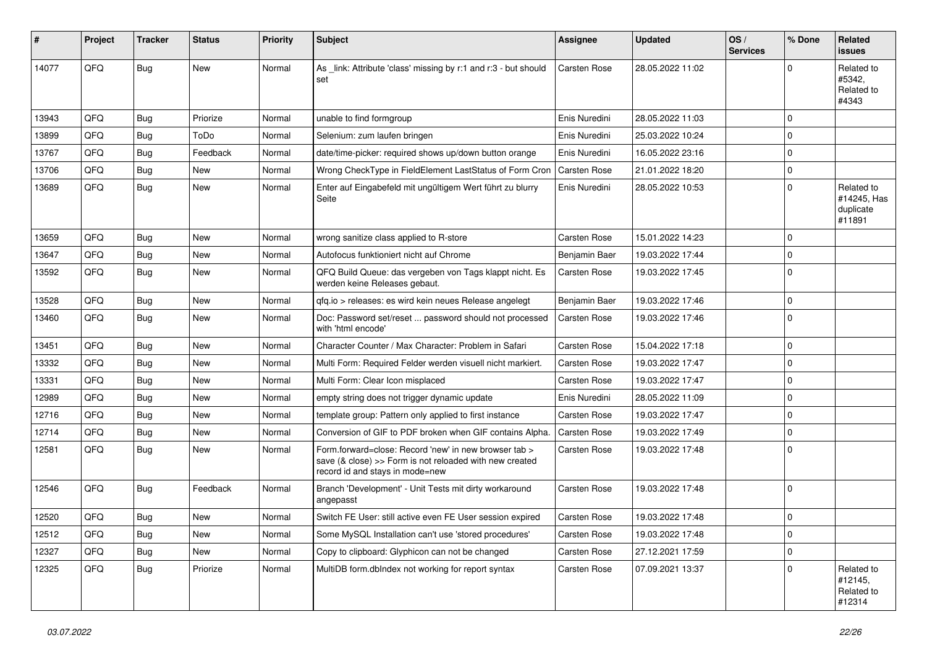| #     | Project | <b>Tracker</b> | <b>Status</b> | <b>Priority</b> | Subject                                                                                                                                             | <b>Assignee</b>     | <b>Updated</b>   | OS/<br><b>Services</b> | % Done      | Related<br>issues                                |
|-------|---------|----------------|---------------|-----------------|-----------------------------------------------------------------------------------------------------------------------------------------------------|---------------------|------------------|------------------------|-------------|--------------------------------------------------|
| 14077 | QFQ     | Bug            | New           | Normal          | As _link: Attribute 'class' missing by r:1 and r:3 - but should<br>set                                                                              | Carsten Rose        | 28.05.2022 11:02 |                        | $\Omega$    | Related to<br>#5342,<br>Related to<br>#4343      |
| 13943 | QFQ     | <b>Bug</b>     | Priorize      | Normal          | unable to find formgroup                                                                                                                            | Enis Nuredini       | 28.05.2022 11:03 |                        | $\Omega$    |                                                  |
| 13899 | QFQ     | <b>Bug</b>     | ToDo          | Normal          | Selenium: zum laufen bringen                                                                                                                        | Enis Nuredini       | 25.03.2022 10:24 |                        | $\mathbf 0$ |                                                  |
| 13767 | QFQ     | <b>Bug</b>     | Feedback      | Normal          | date/time-picker: required shows up/down button orange                                                                                              | Enis Nuredini       | 16.05.2022 23:16 |                        | 0           |                                                  |
| 13706 | QFQ     | <b>Bug</b>     | New           | Normal          | Wrong CheckType in FieldElement LastStatus of Form Cron                                                                                             | Carsten Rose        | 21.01.2022 18:20 |                        | 0           |                                                  |
| 13689 | QFQ     | Bug            | New           | Normal          | Enter auf Eingabefeld mit ungültigem Wert führt zu blurry<br>Seite                                                                                  | Enis Nuredini       | 28.05.2022 10:53 |                        | 0           | Related to<br>#14245, Has<br>duplicate<br>#11891 |
| 13659 | QFQ     | <b>Bug</b>     | <b>New</b>    | Normal          | wrong sanitize class applied to R-store                                                                                                             | Carsten Rose        | 15.01.2022 14:23 |                        | $\Omega$    |                                                  |
| 13647 | QFQ     | Bug            | <b>New</b>    | Normal          | Autofocus funktioniert nicht auf Chrome                                                                                                             | Benjamin Baer       | 19.03.2022 17:44 |                        | 0           |                                                  |
| 13592 | QFQ     | <b>Bug</b>     | <b>New</b>    | Normal          | QFQ Build Queue: das vergeben von Tags klappt nicht. Es<br>werden keine Releases gebaut.                                                            | Carsten Rose        | 19.03.2022 17:45 |                        | $\Omega$    |                                                  |
| 13528 | QFQ     | <b>Bug</b>     | <b>New</b>    | Normal          | qfq.io > releases: es wird kein neues Release angelegt                                                                                              | Benjamin Baer       | 19.03.2022 17:46 |                        | 0           |                                                  |
| 13460 | QFQ     | <b>Bug</b>     | New           | Normal          | Doc: Password set/reset  password should not processed<br>with 'html encode'                                                                        | Carsten Rose        | 19.03.2022 17:46 |                        | 0           |                                                  |
| 13451 | QFQ     | <b>Bug</b>     | <b>New</b>    | Normal          | Character Counter / Max Character: Problem in Safari                                                                                                | Carsten Rose        | 15.04.2022 17:18 |                        | 0           |                                                  |
| 13332 | QFQ     | <b>Bug</b>     | New           | Normal          | Multi Form: Required Felder werden visuell nicht markiert.                                                                                          | Carsten Rose        | 19.03.2022 17:47 |                        | 0           |                                                  |
| 13331 | QFQ     | <b>Bug</b>     | <b>New</b>    | Normal          | Multi Form: Clear Icon misplaced                                                                                                                    | Carsten Rose        | 19.03.2022 17:47 |                        | 0           |                                                  |
| 12989 | QFQ     | <b>Bug</b>     | <b>New</b>    | Normal          | empty string does not trigger dynamic update                                                                                                        | Enis Nuredini       | 28.05.2022 11:09 |                        | $\mathbf 0$ |                                                  |
| 12716 | QFQ     | <b>Bug</b>     | New           | Normal          | template group: Pattern only applied to first instance                                                                                              | Carsten Rose        | 19.03.2022 17:47 |                        | 0           |                                                  |
| 12714 | QFQ     | <b>Bug</b>     | <b>New</b>    | Normal          | Conversion of GIF to PDF broken when GIF contains Alpha.                                                                                            | Carsten Rose        | 19.03.2022 17:49 |                        | $\mathbf 0$ |                                                  |
| 12581 | QFQ     | Bug            | New           | Normal          | Form.forward=close: Record 'new' in new browser tab ><br>save (& close) >> Form is not reloaded with new created<br>record id and stays in mode=new | Carsten Rose        | 19.03.2022 17:48 |                        | $\mathbf 0$ |                                                  |
| 12546 | QFQ     | Bug            | Feedback      | Normal          | Branch 'Development' - Unit Tests mit dirty workaround<br>angepasst                                                                                 | Carsten Rose        | 19.03.2022 17:48 |                        | $\mathbf 0$ |                                                  |
| 12520 | QFQ     | Bug            | New           | Normal          | Switch FE User: still active even FE User session expired                                                                                           | <b>Carsten Rose</b> | 19.03.2022 17:48 |                        | 0           |                                                  |
| 12512 | QFQ     | <b>Bug</b>     | New           | Normal          | Some MySQL Installation can't use 'stored procedures'                                                                                               | Carsten Rose        | 19.03.2022 17:48 |                        | 0           |                                                  |
| 12327 | QFQ     | Bug            | New           | Normal          | Copy to clipboard: Glyphicon can not be changed                                                                                                     | Carsten Rose        | 27.12.2021 17:59 |                        | 0           |                                                  |
| 12325 | QFQ     | <b>Bug</b>     | Priorize      | Normal          | MultiDB form.dblndex not working for report syntax                                                                                                  | Carsten Rose        | 07.09.2021 13:37 |                        | 0           | Related to<br>#12145,<br>Related to<br>#12314    |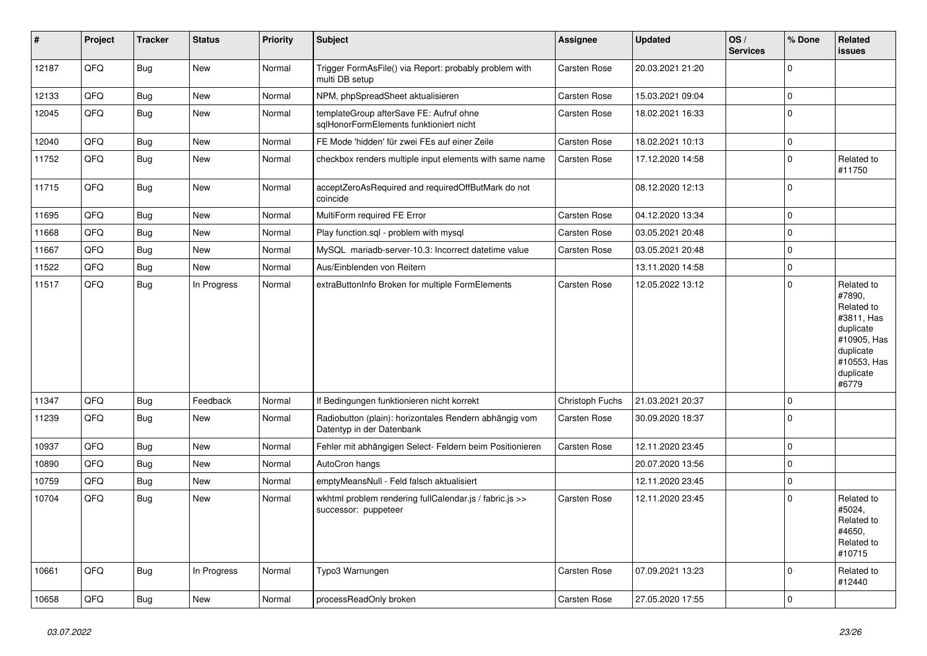| #     | Project | <b>Tracker</b> | <b>Status</b> | <b>Priority</b> | <b>Subject</b>                                                                      | <b>Assignee</b> | <b>Updated</b>   | OS/<br><b>Services</b> | % Done      | Related<br><b>issues</b>                                                                                                       |
|-------|---------|----------------|---------------|-----------------|-------------------------------------------------------------------------------------|-----------------|------------------|------------------------|-------------|--------------------------------------------------------------------------------------------------------------------------------|
| 12187 | QFQ     | <b>Bug</b>     | <b>New</b>    | Normal          | Trigger FormAsFile() via Report: probably problem with<br>multi DB setup            | Carsten Rose    | 20.03.2021 21:20 |                        | 0           |                                                                                                                                |
| 12133 | QFQ     | <b>Bug</b>     | <b>New</b>    | Normal          | NPM, phpSpreadSheet aktualisieren                                                   | Carsten Rose    | 15.03.2021 09:04 |                        | $\Omega$    |                                                                                                                                |
| 12045 | QFQ     | <b>Bug</b>     | New           | Normal          | templateGroup afterSave FE: Aufruf ohne<br>sglHonorFormElements funktioniert nicht  | Carsten Rose    | 18.02.2021 16:33 |                        | $\Omega$    |                                                                                                                                |
| 12040 | QFQ     | <b>Bug</b>     | <b>New</b>    | Normal          | FE Mode 'hidden' für zwei FEs auf einer Zeile                                       | Carsten Rose    | 18.02.2021 10:13 |                        | $\mathsf 0$ |                                                                                                                                |
| 11752 | QFQ     | Bug            | <b>New</b>    | Normal          | checkbox renders multiple input elements with same name                             | Carsten Rose    | 17.12.2020 14:58 |                        | 0           | Related to<br>#11750                                                                                                           |
| 11715 | QFQ     | <b>Bug</b>     | New           | Normal          | acceptZeroAsRequired and requiredOffButMark do not<br>coincide                      |                 | 08.12.2020 12:13 |                        | 0           |                                                                                                                                |
| 11695 | QFQ     | <b>Bug</b>     | <b>New</b>    | Normal          | MultiForm required FE Error                                                         | Carsten Rose    | 04.12.2020 13:34 |                        | $\Omega$    |                                                                                                                                |
| 11668 | QFQ     | <b>Bug</b>     | <b>New</b>    | Normal          | Play function.sql - problem with mysql                                              | Carsten Rose    | 03.05.2021 20:48 |                        | $\Omega$    |                                                                                                                                |
| 11667 | QFQ     | <b>Bug</b>     | <b>New</b>    | Normal          | MySQL mariadb-server-10.3: Incorrect datetime value                                 | Carsten Rose    | 03.05.2021 20:48 |                        | $\Omega$    |                                                                                                                                |
| 11522 | QFQ     | <b>Bug</b>     | New           | Normal          | Aus/Einblenden von Reitern                                                          |                 | 13.11.2020 14:58 |                        | 0           |                                                                                                                                |
| 11517 | QFQ     | Bug            | In Progress   | Normal          | extraButtonInfo Broken for multiple FormElements                                    | Carsten Rose    | 12.05.2022 13:12 |                        | 0           | Related to<br>#7890,<br>Related to<br>#3811, Has<br>duplicate<br>#10905, Has<br>duplicate<br>#10553, Has<br>duplicate<br>#6779 |
| 11347 | QFQ     | <b>Bug</b>     | Feedback      | Normal          | If Bedingungen funktionieren nicht korrekt                                          | Christoph Fuchs | 21.03.2021 20:37 |                        | 0           |                                                                                                                                |
| 11239 | QFQ     | <b>Bug</b>     | <b>New</b>    | Normal          | Radiobutton (plain): horizontales Rendern abhängig vom<br>Datentyp in der Datenbank | Carsten Rose    | 30.09.2020 18:37 |                        | $\Omega$    |                                                                                                                                |
| 10937 | QFQ     | <b>Bug</b>     | <b>New</b>    | Normal          | Fehler mit abhängigen Select- Feldern beim Positionieren                            | Carsten Rose    | 12.11.2020 23:45 |                        | 0           |                                                                                                                                |
| 10890 | QFQ     | <b>Bug</b>     | <b>New</b>    | Normal          | AutoCron hangs                                                                      |                 | 20.07.2020 13:56 |                        | $\Omega$    |                                                                                                                                |
| 10759 | QFQ     | <b>Bug</b>     | <b>New</b>    | Normal          | emptyMeansNull - Feld falsch aktualisiert                                           |                 | 12.11.2020 23:45 |                        | $\Omega$    |                                                                                                                                |
| 10704 | QFQ     | <b>Bug</b>     | New           | Normal          | wkhtml problem rendering fullCalendar.js / fabric.js >><br>successor: puppeteer     | Carsten Rose    | 12.11.2020 23:45 |                        | $\Omega$    | Related to<br>#5024,<br>Related to<br>#4650,<br>Related to<br>#10715                                                           |
| 10661 | QFQ     | <b>Bug</b>     | In Progress   | Normal          | Typo3 Warnungen                                                                     | Carsten Rose    | 07.09.2021 13:23 |                        | $\Omega$    | Related to<br>#12440                                                                                                           |
| 10658 | QFQ     | Bug            | New           | Normal          | processReadOnly broken                                                              | Carsten Rose    | 27.05.2020 17:55 |                        | 0           |                                                                                                                                |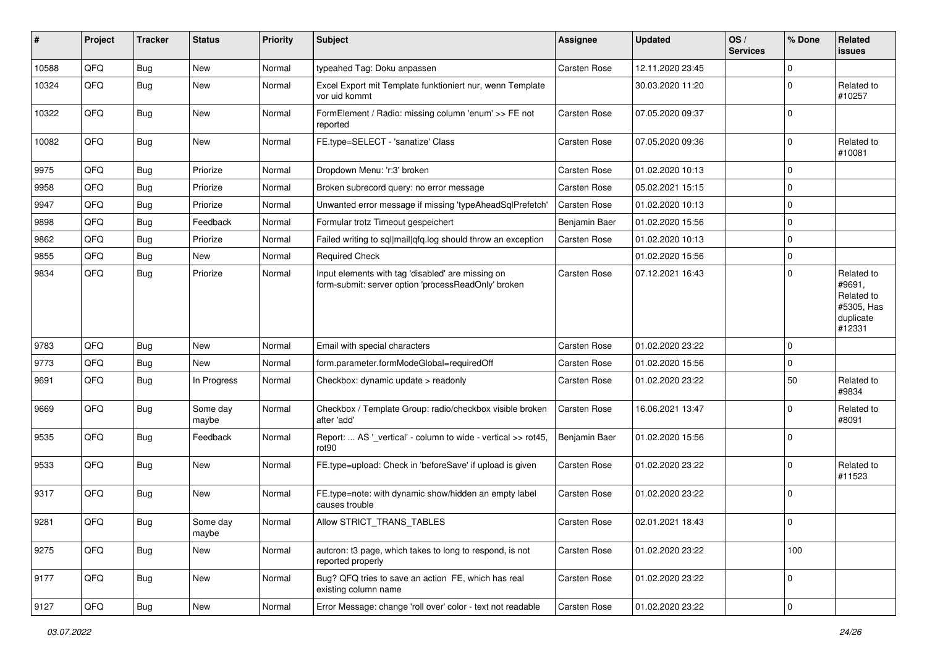| #     | Project | <b>Tracker</b> | <b>Status</b>     | <b>Priority</b> | Subject                                                                                                  | <b>Assignee</b> | <b>Updated</b>   | OS/<br><b>Services</b> | % Done      | Related<br><b>issues</b>                                                |
|-------|---------|----------------|-------------------|-----------------|----------------------------------------------------------------------------------------------------------|-----------------|------------------|------------------------|-------------|-------------------------------------------------------------------------|
| 10588 | QFQ     | Bug            | <b>New</b>        | Normal          | typeahed Tag: Doku anpassen                                                                              | Carsten Rose    | 12.11.2020 23:45 |                        | $\Omega$    |                                                                         |
| 10324 | QFQ     | Bug            | New               | Normal          | Excel Export mit Template funktioniert nur, wenn Template<br>vor uid kommt                               |                 | 30.03.2020 11:20 |                        | 0           | Related to<br>#10257                                                    |
| 10322 | QFQ     | <b>Bug</b>     | New               | Normal          | FormElement / Radio: missing column 'enum' >> FE not<br>reported                                         | Carsten Rose    | 07.05.2020 09:37 |                        | 0           |                                                                         |
| 10082 | QFQ     | Bug            | New               | Normal          | FE.type=SELECT - 'sanatize' Class                                                                        | Carsten Rose    | 07.05.2020 09:36 |                        | 0           | Related to<br>#10081                                                    |
| 9975  | QFQ     | <b>Bug</b>     | Priorize          | Normal          | Dropdown Menu: 'r:3' broken                                                                              | Carsten Rose    | 01.02.2020 10:13 |                        | 0           |                                                                         |
| 9958  | QFQ     | <b>Bug</b>     | Priorize          | Normal          | Broken subrecord query: no error message                                                                 | Carsten Rose    | 05.02.2021 15:15 |                        | $\mathbf 0$ |                                                                         |
| 9947  | QFQ     | Bug            | Priorize          | Normal          | Unwanted error message if missing 'typeAheadSqlPrefetch'                                                 | Carsten Rose    | 01.02.2020 10:13 |                        | 0           |                                                                         |
| 9898  | QFQ     | Bug            | Feedback          | Normal          | Formular trotz Timeout gespeichert                                                                       | Benjamin Baer   | 01.02.2020 15:56 |                        | 0           |                                                                         |
| 9862  | QFQ     | <b>Bug</b>     | Priorize          | Normal          | Failed writing to sql mail qfq.log should throw an exception                                             | Carsten Rose    | 01.02.2020 10:13 |                        | 0           |                                                                         |
| 9855  | QFQ     | Bug            | New               | Normal          | <b>Required Check</b>                                                                                    |                 | 01.02.2020 15:56 |                        | 0           |                                                                         |
| 9834  | QFQ     | Bug            | Priorize          | Normal          | Input elements with tag 'disabled' are missing on<br>form-submit: server option 'processReadOnly' broken | Carsten Rose    | 07.12.2021 16:43 |                        | 0           | Related to<br>#9691,<br>Related to<br>#5305, Has<br>duplicate<br>#12331 |
| 9783  | QFQ     | Bug            | New               | Normal          | Email with special characters                                                                            | Carsten Rose    | 01.02.2020 23:22 |                        | $\mathbf 0$ |                                                                         |
| 9773  | QFQ     | Bug            | New               | Normal          | form.parameter.formModeGlobal=requiredOff                                                                | Carsten Rose    | 01.02.2020 15:56 |                        | 0           |                                                                         |
| 9691  | QFQ     | Bug            | In Progress       | Normal          | Checkbox: dynamic update > readonly                                                                      | Carsten Rose    | 01.02.2020 23:22 |                        | 50          | Related to<br>#9834                                                     |
| 9669  | QFQ     | Bug            | Some day<br>maybe | Normal          | Checkbox / Template Group: radio/checkbox visible broken<br>after 'add'                                  | Carsten Rose    | 16.06.2021 13:47 |                        | 0           | Related to<br>#8091                                                     |
| 9535  | QFQ     | <b>Bug</b>     | Feedback          | Normal          | Report:  AS '_vertical' - column to wide - vertical >> rot45,<br>rot90                                   | Benjamin Baer   | 01.02.2020 15:56 |                        | 0           |                                                                         |
| 9533  | QFQ     | Bug            | New               | Normal          | FE.type=upload: Check in 'beforeSave' if upload is given                                                 | Carsten Rose    | 01.02.2020 23:22 |                        | 0           | Related to<br>#11523                                                    |
| 9317  | QFQ     | Bug            | New               | Normal          | FE.type=note: with dynamic show/hidden an empty label<br>causes trouble                                  | Carsten Rose    | 01.02.2020 23:22 |                        | 0           |                                                                         |
| 9281  | QFQ     | Bug            | Some day<br>maybe | Normal          | Allow STRICT_TRANS_TABLES                                                                                | Carsten Rose    | 02.01.2021 18:43 |                        | $\mathbf 0$ |                                                                         |
| 9275  | QFQ     | Bug            | New               | Normal          | autcron: t3 page, which takes to long to respond, is not<br>reported properly                            | Carsten Rose    | 01.02.2020 23:22 |                        | 100         |                                                                         |
| 9177  | QFQ     | Bug            | New               | Normal          | Bug? QFQ tries to save an action FE, which has real<br>existing column name                              | Carsten Rose    | 01.02.2020 23:22 |                        | 0           |                                                                         |
| 9127  | QFQ     | <b>Bug</b>     | New               | Normal          | Error Message: change 'roll over' color - text not readable                                              | Carsten Rose    | 01.02.2020 23:22 |                        | 0           |                                                                         |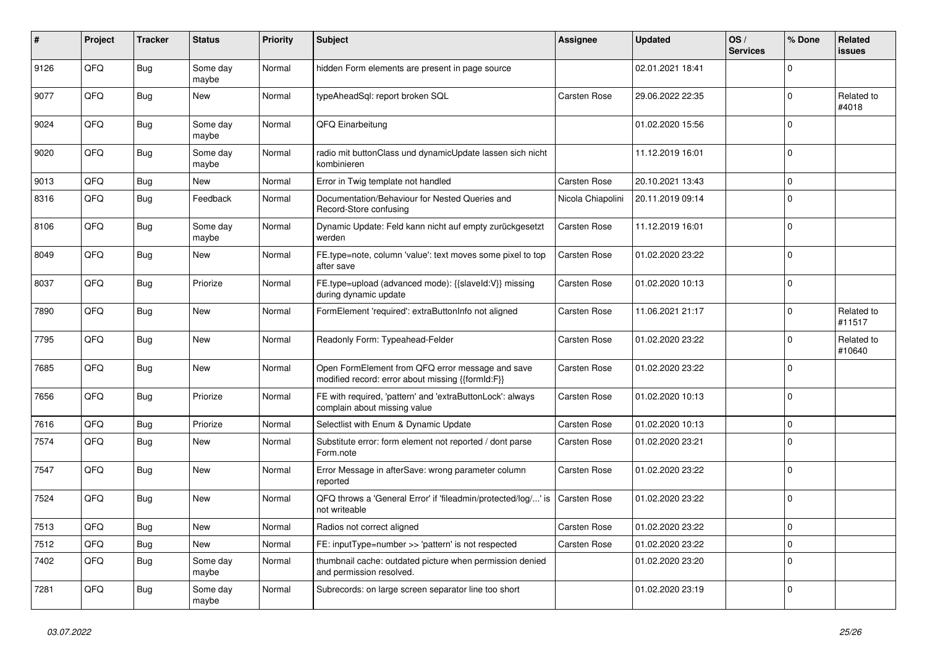| ∦    | Project | <b>Tracker</b> | <b>Status</b>     | <b>Priority</b> | <b>Subject</b>                                                                                        | <b>Assignee</b>     | <b>Updated</b>   | OS/<br><b>Services</b> | % Done      | <b>Related</b><br><b>issues</b> |
|------|---------|----------------|-------------------|-----------------|-------------------------------------------------------------------------------------------------------|---------------------|------------------|------------------------|-------------|---------------------------------|
| 9126 | QFQ     | <b>Bug</b>     | Some day<br>maybe | Normal          | hidden Form elements are present in page source                                                       |                     | 02.01.2021 18:41 |                        | $\Omega$    |                                 |
| 9077 | QFQ     | <b>Bug</b>     | <b>New</b>        | Normal          | typeAheadSgl: report broken SQL                                                                       | <b>Carsten Rose</b> | 29.06.2022 22:35 |                        | $\mathbf 0$ | Related to<br>#4018             |
| 9024 | QFQ     | Bug            | Some day<br>maybe | Normal          | QFQ Einarbeitung                                                                                      |                     | 01.02.2020 15:56 |                        | $\Omega$    |                                 |
| 9020 | QFQ     | <b>Bug</b>     | Some day<br>maybe | Normal          | radio mit buttonClass und dynamicUpdate lassen sich nicht<br>kombinieren                              |                     | 11.12.2019 16:01 |                        | $\mathbf 0$ |                                 |
| 9013 | QFQ     | <b>Bug</b>     | <b>New</b>        | Normal          | Error in Twig template not handled                                                                    | <b>Carsten Rose</b> | 20.10.2021 13:43 |                        | $\mathbf 0$ |                                 |
| 8316 | QFQ     | <b>Bug</b>     | Feedback          | Normal          | Documentation/Behaviour for Nested Queries and<br>Record-Store confusing                              | Nicola Chiapolini   | 20.11.2019 09:14 |                        | $\Omega$    |                                 |
| 8106 | QFQ     | Bug            | Some day<br>maybe | Normal          | Dynamic Update: Feld kann nicht auf empty zurückgesetzt<br>werden                                     | <b>Carsten Rose</b> | 11.12.2019 16:01 |                        | $\mathbf 0$ |                                 |
| 8049 | QFQ     | Bug            | New               | Normal          | FE.type=note, column 'value': text moves some pixel to top<br>after save                              | Carsten Rose        | 01.02.2020 23:22 |                        | $\mathbf 0$ |                                 |
| 8037 | QFQ     | <b>Bug</b>     | Priorize          | Normal          | FE.type=upload (advanced mode): {{slaveld:V}} missing<br>during dynamic update                        | Carsten Rose        | 01.02.2020 10:13 |                        | $\Omega$    |                                 |
| 7890 | QFQ     | Bug            | <b>New</b>        | Normal          | FormElement 'required': extraButtonInfo not aligned                                                   | Carsten Rose        | 11.06.2021 21:17 |                        | $\mathbf 0$ | Related to<br>#11517            |
| 7795 | QFQ     | Bug            | <b>New</b>        | Normal          | Readonly Form: Typeahead-Felder                                                                       | <b>Carsten Rose</b> | 01.02.2020 23:22 |                        | $\Omega$    | Related to<br>#10640            |
| 7685 | QFQ     | <b>Bug</b>     | <b>New</b>        | Normal          | Open FormElement from QFQ error message and save<br>modified record: error about missing {{formId:F}} | Carsten Rose        | 01.02.2020 23:22 |                        | $\Omega$    |                                 |
| 7656 | QFQ     | <b>Bug</b>     | Priorize          | Normal          | FE with required, 'pattern' and 'extraButtonLock': always<br>complain about missing value             | Carsten Rose        | 01.02.2020 10:13 |                        | $\mathbf 0$ |                                 |
| 7616 | QFQ     | Bug            | Priorize          | Normal          | Selectlist with Enum & Dynamic Update                                                                 | Carsten Rose        | 01.02.2020 10:13 |                        | $\mathbf 0$ |                                 |
| 7574 | QFQ     | <b>Bug</b>     | <b>New</b>        | Normal          | Substitute error: form element not reported / dont parse<br>Form.note                                 | Carsten Rose        | 01.02.2020 23:21 |                        | $\mathbf 0$ |                                 |
| 7547 | QFQ     | <b>Bug</b>     | New               | Normal          | Error Message in afterSave: wrong parameter column<br>reported                                        | Carsten Rose        | 01.02.2020 23:22 |                        | $\Omega$    |                                 |
| 7524 | QFQ     | <b>Bug</b>     | <b>New</b>        | Normal          | QFQ throws a 'General Error' if 'fileadmin/protected/log/' is<br>not writeable                        | <b>Carsten Rose</b> | 01.02.2020 23:22 |                        | $\Omega$    |                                 |
| 7513 | QFQ     | Bug            | <b>New</b>        | Normal          | Radios not correct aligned                                                                            | Carsten Rose        | 01.02.2020 23:22 |                        | $\mathbf 0$ |                                 |
| 7512 | QFQ     | Bug            | <b>New</b>        | Normal          | FE: inputType=number >> 'pattern' is not respected                                                    | Carsten Rose        | 01.02.2020 23:22 |                        | $\mathbf 0$ |                                 |
| 7402 | QFQ     | <b>Bug</b>     | Some day<br>maybe | Normal          | thumbnail cache: outdated picture when permission denied<br>and permission resolved.                  |                     | 01.02.2020 23:20 |                        | $\mathbf 0$ |                                 |
| 7281 | QFQ     | <b>Bug</b>     | Some day<br>maybe | Normal          | Subrecords: on large screen separator line too short                                                  |                     | 01.02.2020 23:19 |                        | $\mathbf 0$ |                                 |